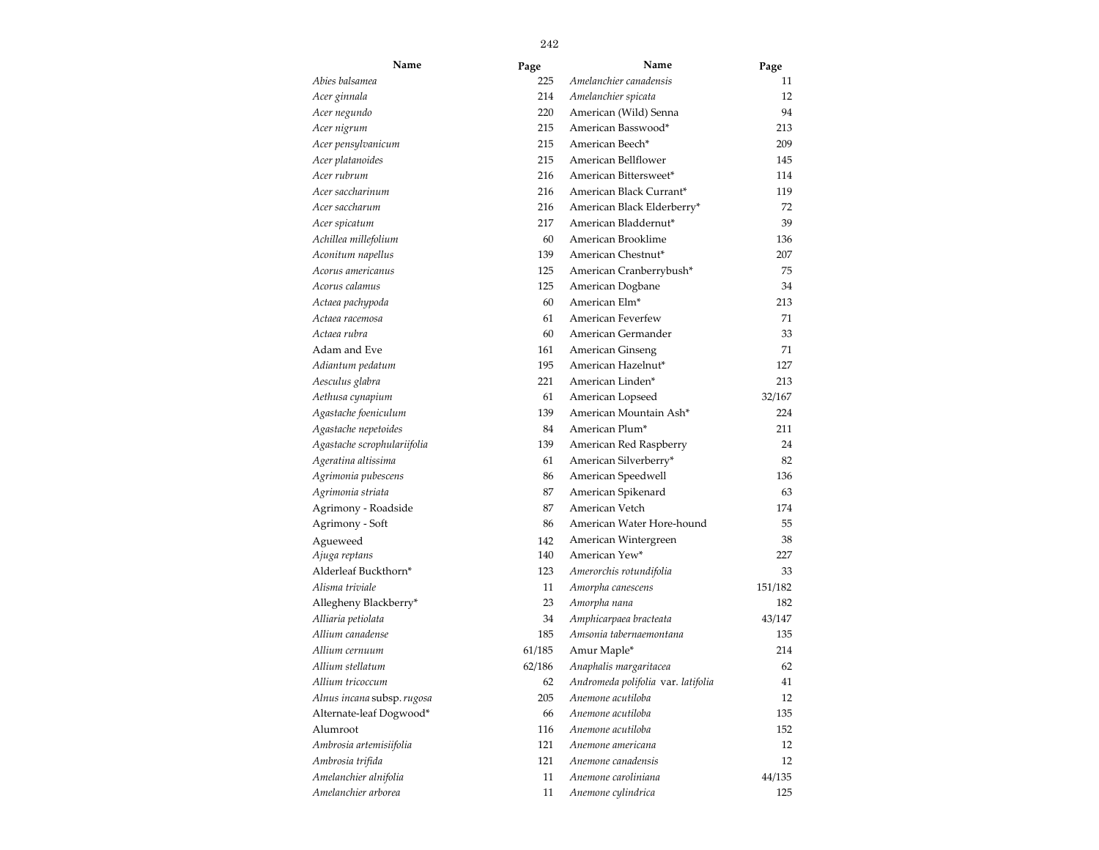| Name                        | Page   | Name                               | Page    |
|-----------------------------|--------|------------------------------------|---------|
| Abies balsamea              | 225    | Amelanchier canadensis             | 11      |
| Acer ginnala                | 214    | Amelanchier spicata                | 12      |
| Acer negundo                | 220    | American (Wild) Senna              | 94      |
| Acer nigrum                 | 215    | American Basswood*                 | 213     |
| Acer pensylvanicum          | 215    | American Beech*                    | 209     |
| Acer platanoides            | 215    | American Bellflower                | 145     |
| Acer rubrum                 | 216    | American Bittersweet*              | 114     |
| Acer saccharinum            | 216    | American Black Currant*            | 119     |
| Acer saccharum              | 216    | American Black Elderberry*         | 72      |
| Acer spicatum               | 217    | American Bladdernut*               | 39      |
| Achillea millefolium        | 60     | American Brooklime                 | 136     |
| Aconitum napellus           | 139    | American Chestnut*                 | 207     |
| Acorus americanus           | 125    | American Cranberrybush*            | 75      |
| Acorus calamus              | 125    | American Dogbane                   | 34      |
| Actaea pachypoda            | 60     | American Elm*                      | 213     |
| Actaea racemosa             | 61     | American Feverfew                  | 71      |
| Actaea rubra                | 60     | American Germander                 | 33      |
| Adam and Eve                | 161    | American Ginseng                   | 71      |
| Adiantum pedatum            | 195    | American Hazelnut*                 | 127     |
| Aesculus glabra             | 221    | American Linden*                   | 213     |
| Aethusa cynapium            | 61     | American Lopseed                   | 32/167  |
| Agastache foeniculum        | 139    | American Mountain Ash*             | 224     |
| Agastache nepetoides        | 84     | American Plum*                     | 211     |
| Agastache scrophulariifolia | 139    | American Red Raspberry             | 24      |
| Ageratina altissima         | 61     | American Silverberry*              | 82      |
| Agrimonia pubescens         | 86     | American Speedwell                 | 136     |
| Agrimonia striata           | 87     | American Spikenard                 | 63      |
| Agrimony - Roadside         | 87     | American Vetch                     | 174     |
| Agrimony - Soft             | 86     | American Water Hore-hound          | 55      |
| Agueweed                    | 142    | American Wintergreen               | 38      |
| Ajuga reptans               | 140    | American Yew*                      | 227     |
| Alderleaf Buckthorn*        | 123    | Amerorchis rotundifolia            | 33      |
| Alisma triviale             | 11     | Amorpha canescens                  | 151/182 |
| Allegheny Blackberry*       | 23     | Amorpha nana                       | 182     |
| Alliaria petiolata          | 34     | Amphicarpaea bracteata             | 43/147  |
| Allium canadense            | 185    | Amsonia tabernaemontana            | 135     |
| Allium cernuum              | 61/185 | Amur Maple*                        | 214     |
| Allium stellatum            | 62/186 | Anaphalis margaritacea             | 62      |
| Allium tricoccum            | 62     | Andromeda polifolia var. latifolia | 41      |
| Alnus incana subsp.rugosa   | 205    | Anemone acutiloba                  | 12      |
| Alternate-leaf Dogwood*     | 66     | Anemone acutiloba                  | 135     |
| Alumroot                    | 116    | Anemone acutiloba                  | 152     |
| Ambrosia artemisiifolia     | 121    | Anemone americana                  | 12      |
| Ambrosia trifida            | 121    | Anemone canadensis                 | 12      |
| Amelanchier alnifolia       | 11     | Anemone caroliniana                | 44/135  |
| Amelanchier arborea         | 11     | Anemone cylindrica                 | 125     |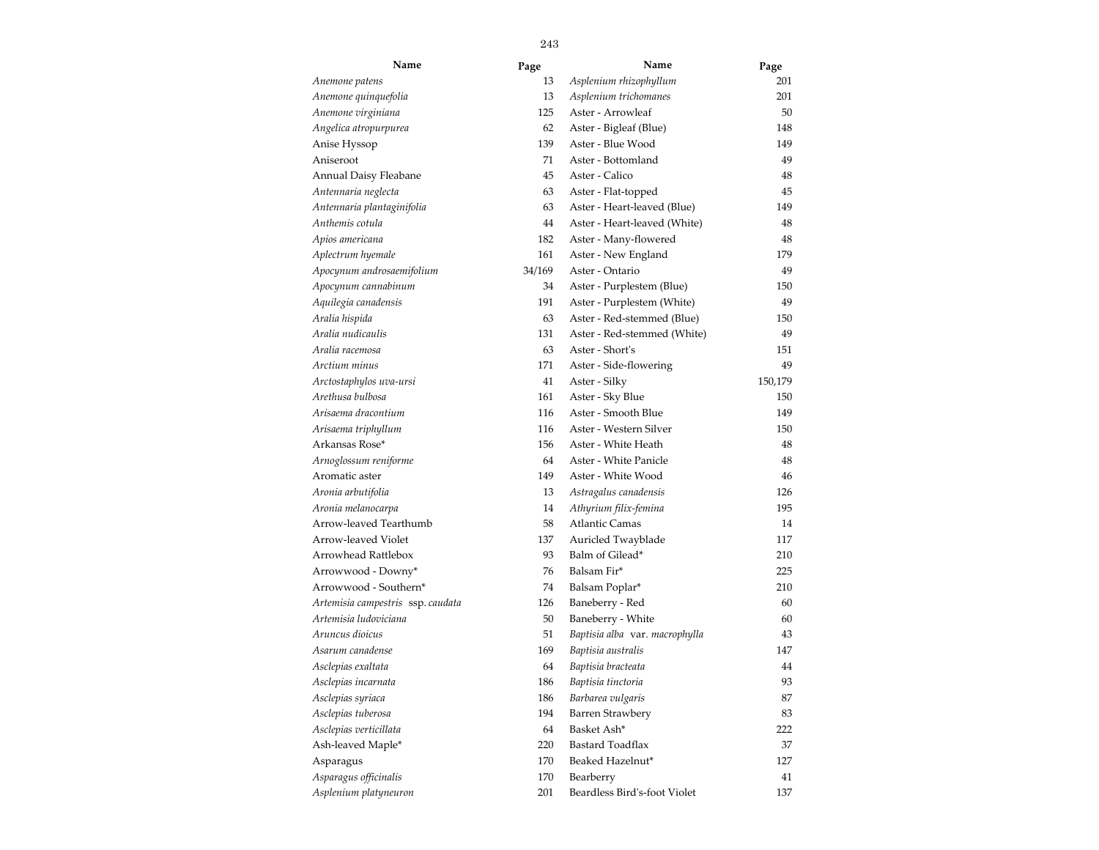| Name                              | Page   | Name                           | Page    |
|-----------------------------------|--------|--------------------------------|---------|
| Anemone patens                    | 13     | Asplenium rhizophyllum         | 201     |
| Anemone quinquefolia              | 13     | Asplenium trichomanes          | 201     |
| Anemone virginiana                | 125    | Aster - Arrowleaf              | 50      |
| Angelica atropurpurea             | 62     | Aster - Bigleaf (Blue)         | 148     |
| Anise Hyssop                      | 139    | Aster - Blue Wood              | 149     |
| Aniseroot                         | 71     | Aster - Bottomland             | 49      |
| Annual Daisy Fleabane             | 45     | Aster - Calico                 | 48      |
| Antennaria neglecta               | 63     | Aster - Flat-topped            | 45      |
| Antennaria plantaginifolia        | 63     | Aster - Heart-leaved (Blue)    | 149     |
| Anthemis cotula                   | 44     | Aster - Heart-leaved (White)   | 48      |
| Apios americana                   | 182    | Aster - Many-flowered          | 48      |
| Aplectrum hyemale                 | 161    | Aster - New England            | 179     |
| Apocynum androsaemifolium         | 34/169 | Aster - Ontario                | 49      |
| Apocynum cannabinum               | 34     | Aster - Purplestem (Blue)      | 150     |
| Aquilegia canadensis              | 191    | Aster - Purplestem (White)     | 49      |
| Aralia hispida                    | 63     | Aster - Red-stemmed (Blue)     | 150     |
| Aralia nudicaulis                 | 131    | Aster - Red-stemmed (White)    | 49      |
| Aralia racemosa                   | 63     | Aster - Short's                | 151     |
| Arctium minus                     | 171    | Aster - Side-flowering         | 49      |
| Arctostaphylos uva-ursi           | 41     | Aster - Silky                  | 150,179 |
| Arethusa bulbosa                  | 161    | Aster - Sky Blue               | 150     |
| Arisaema dracontium               | 116    | Aster - Smooth Blue            | 149     |
| Arisaema triphyllum               | 116    | Aster - Western Silver         | 150     |
| Arkansas Rose*                    | 156    | Aster - White Heath            | 48      |
| Arnoglossum reniforme             | 64     | Aster - White Panicle          | 48      |
| Aromatic aster                    | 149    | Aster - White Wood             | 46      |
| Aronia arbutifolia                | 13     | Astragalus canadensis          | 126     |
| Aronia melanocarpa                | 14     | Athyrium filix-femina          | 195     |
| Arrow-leaved Tearthumb            | 58     | Atlantic Camas                 | 14      |
| Arrow-leaved Violet               | 137    | Auricled Twayblade             | 117     |
| Arrowhead Rattlebox               | 93     | Balm of Gilead*                | 210     |
| Arrowwood - Downy*                | 76     | Balsam Fir*                    | 225     |
| Arrowwood - Southern*             | 74     | Balsam Poplar*                 | 210     |
| Artemisia campestris ssp. caudata | 126    | Baneberry - Red                | 60      |
| Artemisia ludoviciana             | 50     | Baneberry - White              | 60      |
| Aruncus dioicus                   | 51     | Baptisia alba var. macrophylla | 43      |
| Asarum canadense                  | 169    | Baptisia australis             | 147     |
| Asclepias exaltata                | 64     | Baptisia bracteata             | 44      |
| Asclepias incarnata               | 186    | Baptisia tinctoria             | 93      |
| Asclepias syriaca                 | 186    | Barbarea vulgaris              | 87      |
| Asclepias tuberosa                | 194    | <b>Barren Strawbery</b>        | 83      |
| Asclepias verticillata            | 64     | Basket Ash*                    | 222     |
| Ash-leaved Maple*                 | 220    | Bastard Toadflax               | 37      |
| Asparagus                         | 170    | Beaked Hazelnut*               | 127     |
| Asparagus officinalis             | 170    | Bearberry                      | 41      |
| Asplenium platyneuron             | 201    | Beardless Bird's-foot Violet   | 137     |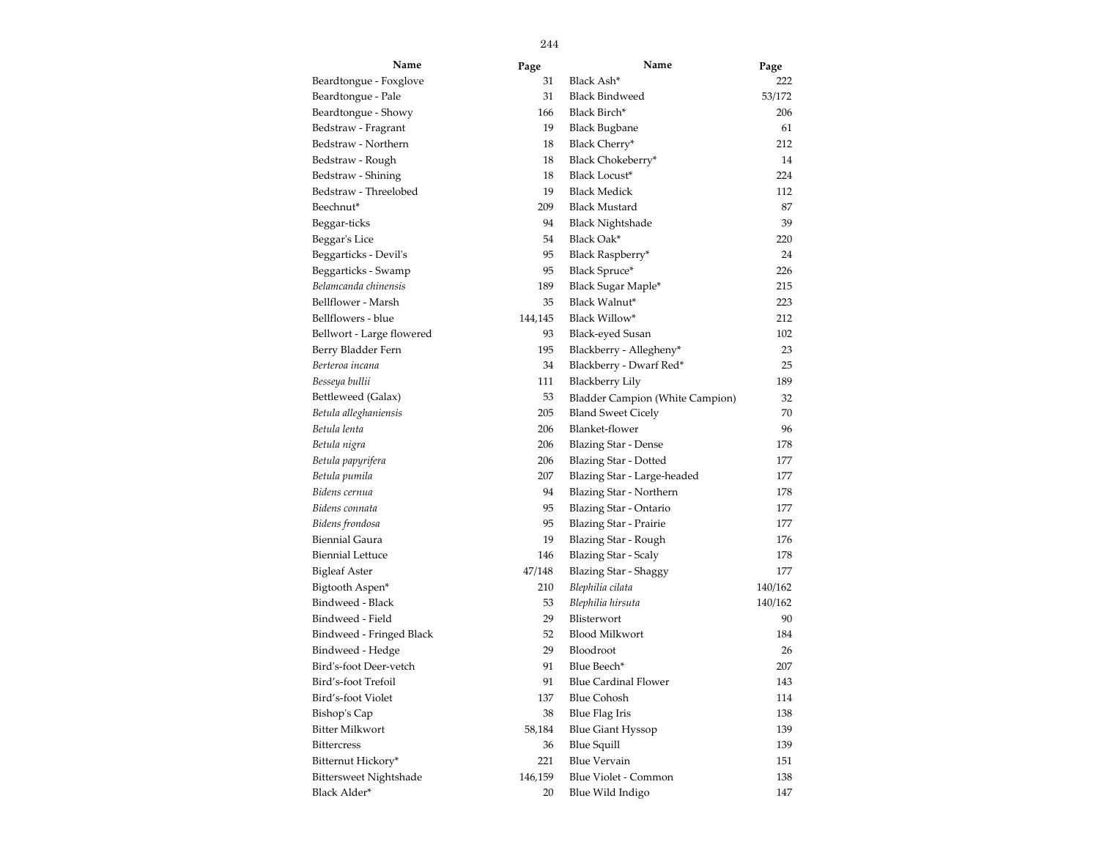| Name                      | Page    | Name                            | Page    |
|---------------------------|---------|---------------------------------|---------|
| Beardtongue - Foxglove    | 31      | Black Ash*                      | 222     |
| Beardtongue - Pale        | 31      | <b>Black Bindweed</b>           | 53/172  |
| Beardtongue - Showy       | 166     | Black Birch*                    | 206     |
| Bedstraw - Fragrant       | 19      | <b>Black Bugbane</b>            | 61      |
| Bedstraw - Northern       | 18      | Black Cherry*                   | 212     |
| Bedstraw - Rough          | 18      | Black Chokeberry*               | 14      |
| Bedstraw - Shining        | 18      | Black Locust*                   | 224     |
| Bedstraw - Threelobed     | 19      | <b>Black Medick</b>             | 112     |
| Beechnut*                 | 209     | <b>Black Mustard</b>            | 87      |
| Beggar-ticks              | 94      | <b>Black Nightshade</b>         | 39      |
| Beggar's Lice             | 54      | Black Oak*                      | 220     |
| Beggarticks - Devil's     | 95      | Black Raspberry*                | 24      |
| Beggarticks - Swamp       | 95      | Black Spruce*                   | 226     |
| Belamcanda chinensis      | 189     | Black Sugar Maple*              | 215     |
| Bellflower - Marsh        | 35      | Black Walnut*                   | 223     |
| Bellflowers - blue        | 144,145 | Black Willow*                   | 212     |
| Bellwort - Large flowered | 93      | <b>Black-eyed Susan</b>         | 102     |
| Berry Bladder Fern        | 195     | Blackberry - Allegheny*         | 23      |
| Berteroa incana           | 34      | Blackberry - Dwarf Red*         | 25      |
| Besseya bullii            | 111     | Blackberry Lily                 | 189     |
| Bettleweed (Galax)        | 53      | Bladder Campion (White Campion) | 32      |
| Betula alleghaniensis     | 205     | <b>Bland Sweet Cicely</b>       | 70      |
| Betula lenta              | 206     | Blanket-flower                  | 96      |
| Betula nigra              | 206     | <b>Blazing Star - Dense</b>     | 178     |
| Betula papyrifera         | 206     | Blazing Star - Dotted           | 177     |
| Betula pumila             | 207     | Blazing Star - Large-headed     | 177     |
| Bidens cernua             | 94      | Blazing Star - Northern         | 178     |
| Bidens connata            | 95      | Blazing Star - Ontario          | 177     |
| Bidens frondosa           | 95      | <b>Blazing Star - Prairie</b>   | 177     |
| Biennial Gaura            | 19      | Blazing Star - Rough            | 176     |
| Biennial Lettuce          | 146     | <b>Blazing Star - Scaly</b>     | 178     |
| <b>Bigleaf Aster</b>      | 47/148  | Blazing Star - Shaggy           | 177     |
| Bigtooth Aspen*           | 210     | Blephilia cilata                | 140/162 |
| Bindweed - Black          | 53      | Blephilia hirsuta               | 140/162 |
| Bindweed - Field          | 29      | Blisterwort                     | 90      |
| Bindweed - Fringed Black  | 52      | <b>Blood Milkwort</b>           | 184     |
| Bindweed - Hedge          | 29      | Bloodroot                       | 26      |
| Bird's-foot Deer-vetch    | 91      | Blue Beech*                     | 207     |
| Bird's-foot Trefoil       | 91      | <b>Blue Cardinal Flower</b>     | 143     |
| Bird's-foot Violet        | 137     | <b>Blue Cohosh</b>              | 114     |
| Bishop's Cap              | 38      | Blue Flag Iris                  | 138     |
| Bitter Milkwort           | 58,184  | <b>Blue Giant Hyssop</b>        | 139     |
| <b>Bittercress</b>        | 36      | <b>Blue Squill</b>              | 139     |
| Bitternut Hickory*        | 221     | <b>Blue Vervain</b>             | 151     |
| Bittersweet Nightshade    | 146,159 | Blue Violet - Common            | 138     |
| Black Alder*              | 20      | Blue Wild Indigo                | 147     |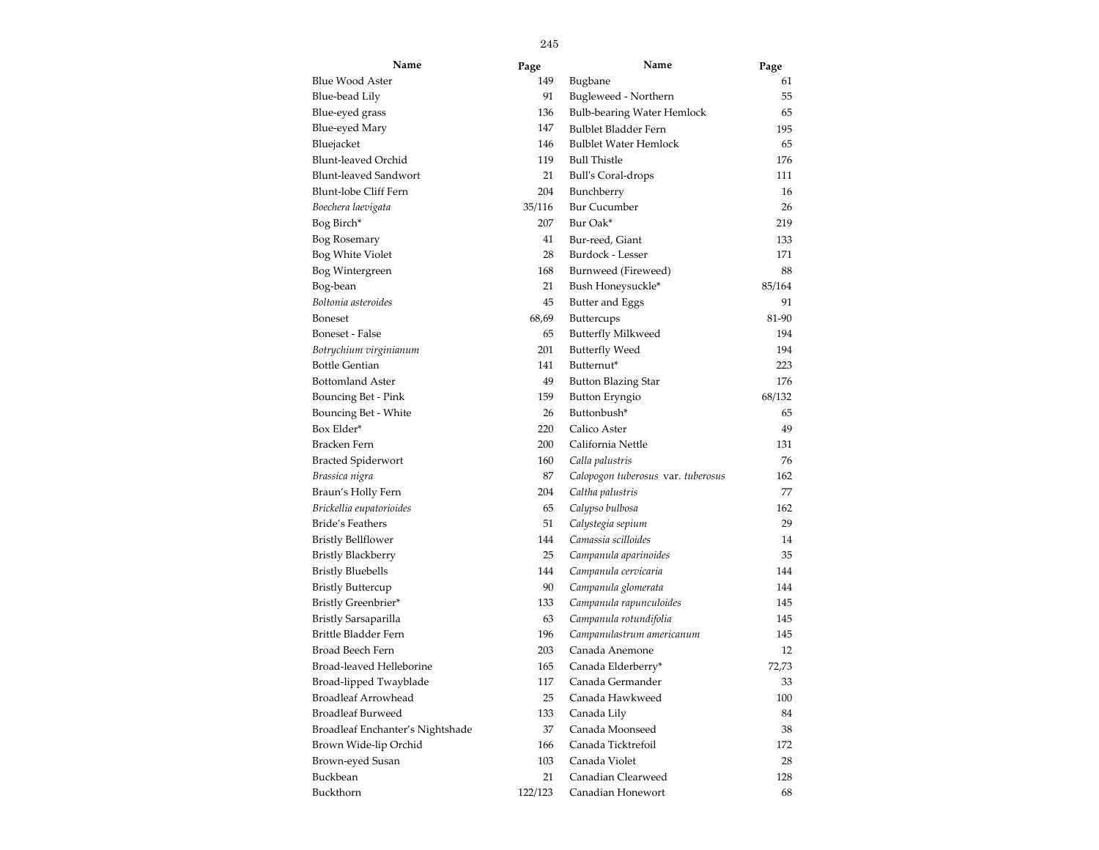| Name                             | Page    | Name                               | Page   |  |
|----------------------------------|---------|------------------------------------|--------|--|
| Blue Wood Aster                  | 149     | Bugbane                            | 61     |  |
| Blue-bead Lily                   | 91      | Bugleweed - Northern               | 55     |  |
| Blue-eyed grass                  | 136     | <b>Bulb-bearing Water Hemlock</b>  | 65     |  |
| Blue-eyed Mary                   | 147     | Bulblet Bladder Fern               | 195    |  |
| Bluejacket                       | 146     | <b>Bulblet Water Hemlock</b>       | 65     |  |
| Blunt-leaved Orchid              | 119     | <b>Bull Thistle</b>                | 176    |  |
| Blunt-leaved Sandwort            | 21      | <b>Bull's Coral-drops</b>          | 111    |  |
| Blunt-lobe Cliff Fern            | 204     | Bunchberry                         | 16     |  |
| Boechera laevigata               | 35/116  | <b>Bur Cucumber</b>                | 26     |  |
| Bog Birch*                       | 207     | Bur Oak*                           | 219    |  |
| Bog Rosemary                     | 41      | Bur-reed, Giant                    | 133    |  |
| Bog White Violet                 | 28      | Burdock - Lesser                   | 171    |  |
| Bog Wintergreen                  | 168     | Burnweed (Fireweed)                | 88     |  |
| Bog-bean                         | 21      | Bush Honeysuckle*                  | 85/164 |  |
| Boltonia asteroides              | 45      | Butter and Eggs                    | 91     |  |
| Boneset                          | 68,69   | <b>Buttercups</b>                  | 81-90  |  |
| Boneset - False                  | 65      | <b>Butterfly Milkweed</b>          | 194    |  |
| Botrychium virginianum           | 201     | <b>Butterfly Weed</b>              | 194    |  |
| Bottle Gentian                   | 141     | Butternut*                         | 223    |  |
| <b>Bottomland Aster</b>          | 49      | <b>Button Blazing Star</b>         | 176    |  |
| <b>Bouncing Bet - Pink</b>       | 159     | <b>Button Eryngio</b>              | 68/132 |  |
| Bouncing Bet - White             | 26      | Buttonbush*                        | 65     |  |
| Box Elder*                       | 220     | Calico Aster                       | 49     |  |
| Bracken Fern                     | 200     | California Nettle                  | 131    |  |
| <b>Bracted Spiderwort</b>        | 160     | Calla palustris                    | 76     |  |
| Brassica nigra                   | 87      | Calopogon tuberosus var. tuberosus | 162    |  |
| Braun's Holly Fern               | 204     | Caltha palustris                   | 77     |  |
| Brickellia eupatorioides         | 65      | Calypso bulbosa                    | 162    |  |
| <b>Bride's Feathers</b>          | 51      | Calystegia sepium                  | 29     |  |
| Bristly Bellflower               | 144     | Camassia scilloides                | 14     |  |
| Bristly Blackberry               | 25      | Campanula aparinoides              | 35     |  |
| Bristly Bluebells                | 144     | Campanula cervicaria               | 144    |  |
| <b>Bristly Buttercup</b>         | 90      | Campanula glomerata                | 144    |  |
| Bristly Greenbrier*              | 133     | Campanula rapunculoides            | 145    |  |
| Bristly Sarsaparilla             | 63      | Campanula rotundifolia             | 145    |  |
| Brittle Bladder Fern             | 196     | Campanulastrum americanum          | 145    |  |
| Broad Beech Fern                 | 203     | Canada Anemone                     | 12     |  |
| Broad-leaved Helleborine         | 165     | Canada Elderberry*                 | 72,73  |  |
| Broad-lipped Twayblade           | 117     | Canada Germander                   | 33     |  |
| <b>Broadleaf Arrowhead</b>       | 25      | Canada Hawkweed                    | 100    |  |
| <b>Broadleaf Burweed</b>         | 133     | Canada Lily                        | 84     |  |
| Broadleaf Enchanter's Nightshade | 37      | Canada Moonseed                    | 38     |  |
| Brown Wide-lip Orchid            | 166     | Canada Ticktrefoil                 | 172    |  |
| Brown-eyed Susan                 | 103     | Canada Violet                      | 28     |  |
| Buckbean                         | 21      | Canadian Clearweed                 | 128    |  |
| Buckthorn                        | 122/123 | Canadian Honewort                  | 68     |  |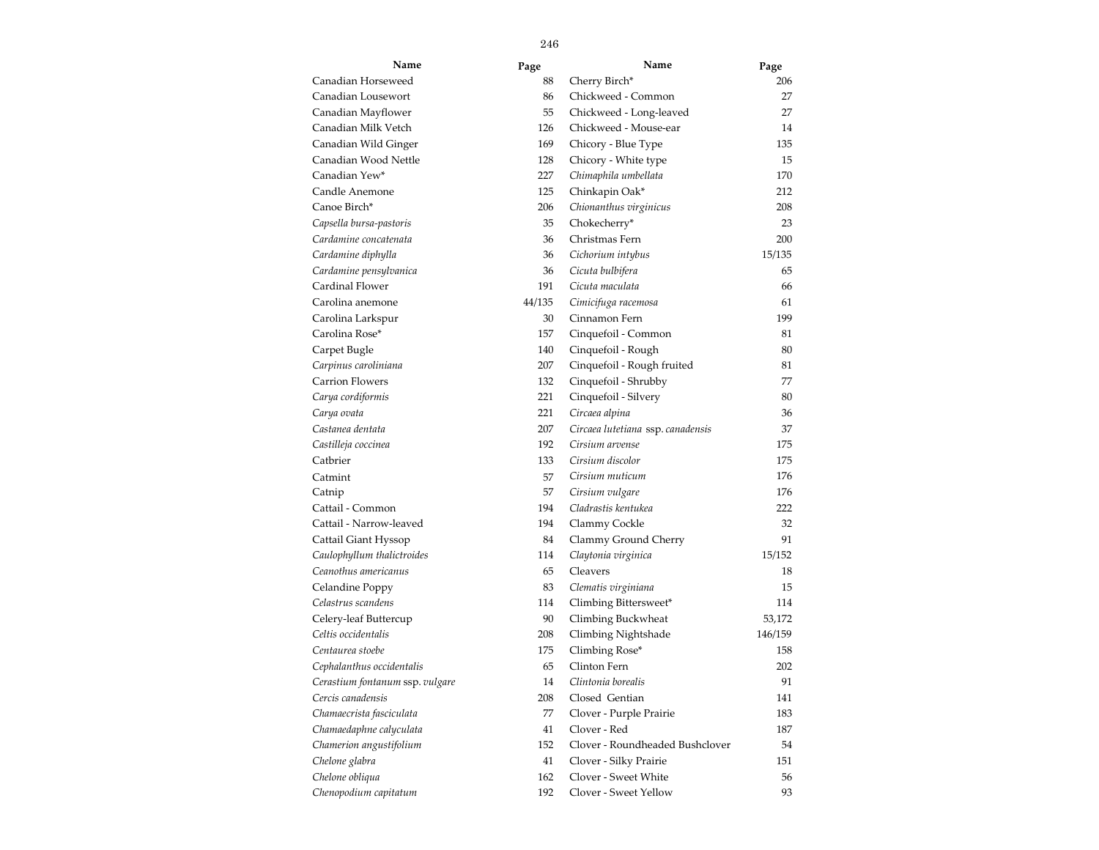| Name                            | Page   | Name                              | Page    |
|---------------------------------|--------|-----------------------------------|---------|
| Canadian Horseweed              | 88     | Cherry Birch*                     | 206     |
| Canadian Lousewort              | 86     | Chickweed - Common                | 27      |
| Canadian Mayflower              | 55     | Chickweed - Long-leaved           | 27      |
| Canadian Milk Vetch             | 126    | Chickweed - Mouse-ear             | 14      |
| Canadian Wild Ginger            | 169    | Chicory - Blue Type               | 135     |
| Canadian Wood Nettle            | 128    | Chicory - White type              | 15      |
| Canadian Yew*                   | 227    | Chimaphila umbellata              | 170     |
| Candle Anemone                  | 125    | Chinkapin Oak*                    | 212     |
| Canoe Birch*                    | 206    | Chionanthus virginicus            | 208     |
| Capsella bursa-pastoris         | 35     | Chokecherry*                      | 23      |
| Cardamine concatenata           | 36     | Christmas Fern                    | 200     |
| Cardamine diphylla              | 36     | Cichorium intybus                 | 15/135  |
| Cardamine pensylvanica          | 36     | Cicuta bulbifera                  | 65      |
| Cardinal Flower                 | 191    | Cicuta maculata                   | 66      |
| Carolina anemone                | 44/135 | Cimicifuga racemosa               | 61      |
| Carolina Larkspur               | 30     | Cinnamon Fern                     | 199     |
| Carolina Rose*                  | 157    | Cinquefoil - Common               | 81      |
| Carpet Bugle                    | 140    | Cinquefoil - Rough                | 80      |
| Carpinus caroliniana            | 207    | Cinquefoil - Rough fruited        | 81      |
| <b>Carrion Flowers</b>          | 132    | Cinquefoil - Shrubby              | 77      |
| Carya cordiformis               | 221    | Cinquefoil - Silvery              | 80      |
| Carya ovata                     | 221    | Circaea alpina                    | 36      |
| Castanea dentata                | 207    | Circaea lutetiana ssp. canadensis | 37      |
| Castilleja coccinea             | 192    | Cirsium arvense                   | 175     |
| Catbrier                        | 133    | Cirsium discolor                  | 175     |
| Catmint                         | 57     | Cirsium muticum                   | 176     |
| Catnip                          | 57     | Cirsium vulgare                   | 176     |
| Cattail - Common                | 194    | Cladrastis kentukea               | 222     |
| Cattail - Narrow-leaved         | 194    | Clammy Cockle                     | 32      |
| Cattail Giant Hyssop            | 84     | Clammy Ground Cherry              | 91      |
| Caulophyllum thalictroides      | 114    | Claytonia virginica               | 15/152  |
| Ceanothus americanus            | 65     | Cleavers                          | 18      |
| Celandine Poppy                 | 83     | Clematis virginiana               | 15      |
| Celastrus scandens              | 114    | Climbing Bittersweet*             | 114     |
| Celery-leaf Buttercup           | 90     | Climbing Buckwheat                | 53,172  |
| Celtis occidentalis             | 208    | Climbing Nightshade               | 146/159 |
| Centaurea stoebe                | 175    | Climbing Rose*                    | 158     |
| Cephalanthus occidentalis       | 65     | Clinton Fern                      | 202     |
| Cerastium fontanum ssp. vulgare | 14     | Clintonia borealis                | 91      |
| Cercis canadensis               | 208    | Closed Gentian                    | 141     |
| Chamaecrista fasciculata        | 77     | Clover - Purple Prairie           | 183     |
| Chamaedaphne calyculata         | 41     | Clover - Red                      | 187     |
| Chamerion angustifolium         | 152    | Clover - Roundheaded Bushclover   | 54      |
| Chelone glabra                  | 41     | Clover - Silky Prairie            | 151     |
| Chelone obliqua                 | 162    | Clover - Sweet White              | 56      |
| Chenopodium capitatum           | 192    | Clover - Sweet Yellow             | 93      |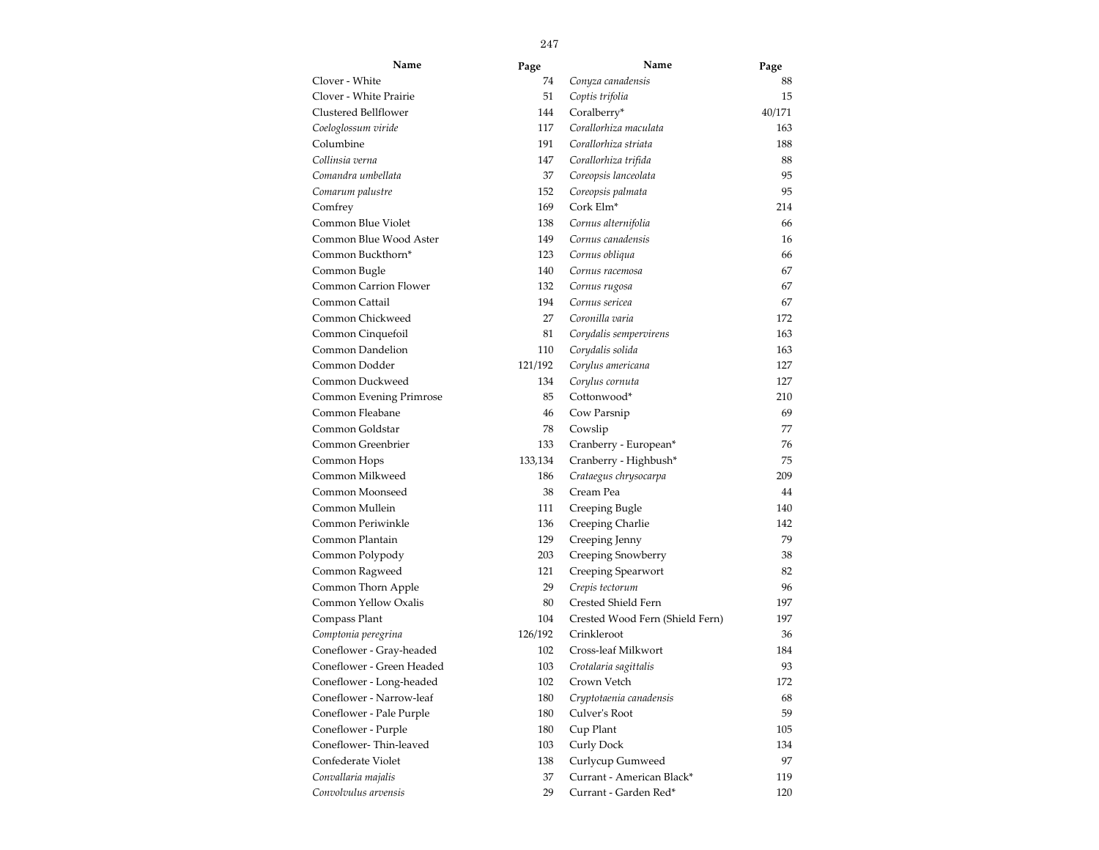| Name                         | Page    | Name                            | Page   |
|------------------------------|---------|---------------------------------|--------|
| Clover - White               | 74      | Conyza canadensis               | 88     |
| Clover - White Prairie       | 51      | Coptis trifolia                 | 15     |
| Clustered Bellflower         | 144     | Coralberry*                     | 40/171 |
| Coeloglossum viride          | 117     | Corallorhiza maculata           | 163    |
| Columbine                    | 191     | Corallorhiza striata            | 188    |
| Collinsia verna              | 147     | Corallorhiza trifida            | 88     |
| Comandra umbellata           | 37      | Coreopsis lanceolata            | 95     |
| Comarum palustre             | 152     | Coreopsis palmata               | 95     |
| Comfrey                      | 169     | Cork Elm <sup>*</sup>           | 214    |
| Common Blue Violet           | 138     | Cornus alternifolia             | 66     |
| Common Blue Wood Aster       | 149     | Cornus canadensis               | 16     |
| Common Buckthorn*            | 123     | Cornus obliqua                  | 66     |
| Common Bugle                 | 140     | Cornus racemosa                 | 67     |
| <b>Common Carrion Flower</b> | 132     | Cornus rugosa                   | 67     |
| Common Cattail               | 194     | Cornus sericea                  | 67     |
| Common Chickweed             | 27      | Coronilla varia                 | 172    |
| Common Cinquefoil            | 81      | Corydalis sempervirens          | 163    |
| Common Dandelion             | 110     | Corydalis solida                | 163    |
| Common Dodder                | 121/192 | Corylus americana               | 127    |
| Common Duckweed              | 134     | Corylus cornuta                 | 127    |
| Common Evening Primrose      | 85      | Cottonwood*                     | 210    |
| Common Fleabane              | 46      | Cow Parsnip                     | 69     |
| Common Goldstar              | 78      | Cowslip                         | 77     |
| Common Greenbrier            | 133     | Cranberry - European*           | 76     |
| Common Hops                  | 133,134 | Cranberry - Highbush*           | 75     |
| Common Milkweed              | 186     | Crataegus chrysocarpa           | 209    |
| Common Moonseed              | 38      | Cream Pea                       | 44     |
| Common Mullein               | 111     | Creeping Bugle                  | 140    |
| Common Periwinkle            | 136     | Creeping Charlie                | 142    |
| Common Plantain              | 129     | Creeping Jenny                  | 79     |
| Common Polypody              | 203     | Creeping Snowberry              | 38     |
| Common Ragweed               | 121     | Creeping Spearwort              | 82     |
| Common Thorn Apple           | 29      | Crepis tectorum                 | 96     |
| Common Yellow Oxalis         | 80      | Crested Shield Fern             | 197    |
| Compass Plant                | 104     | Crested Wood Fern (Shield Fern) | 197    |
| Comptonia peregrina          | 126/192 | Crinkleroot                     | 36     |
| Coneflower - Gray-headed     | 102     | Cross-leaf Milkwort             | 184    |
| Coneflower - Green Headed    | 103     | Crotalaria sagittalis           | 93     |
| Coneflower - Long-headed     | 102     | Crown Vetch                     | 172    |
| Coneflower - Narrow-leaf     | 180     | Cryptotaenia canadensis         | 68     |
| Coneflower - Pale Purple     | 180     | Culver's Root                   | 59     |
| Coneflower - Purple          | 180     | Cup Plant                       | 105    |
| Coneflower-Thin-leaved       | 103     | Curly Dock                      | 134    |
| Confederate Violet           | 138     | Curlycup Gumweed                | 97     |
| Convallaria majalis          | 37      | Currant - American Black*       | 119    |
| Convolvulus arvensis         | 29      | Currant - Garden Red*           | 120    |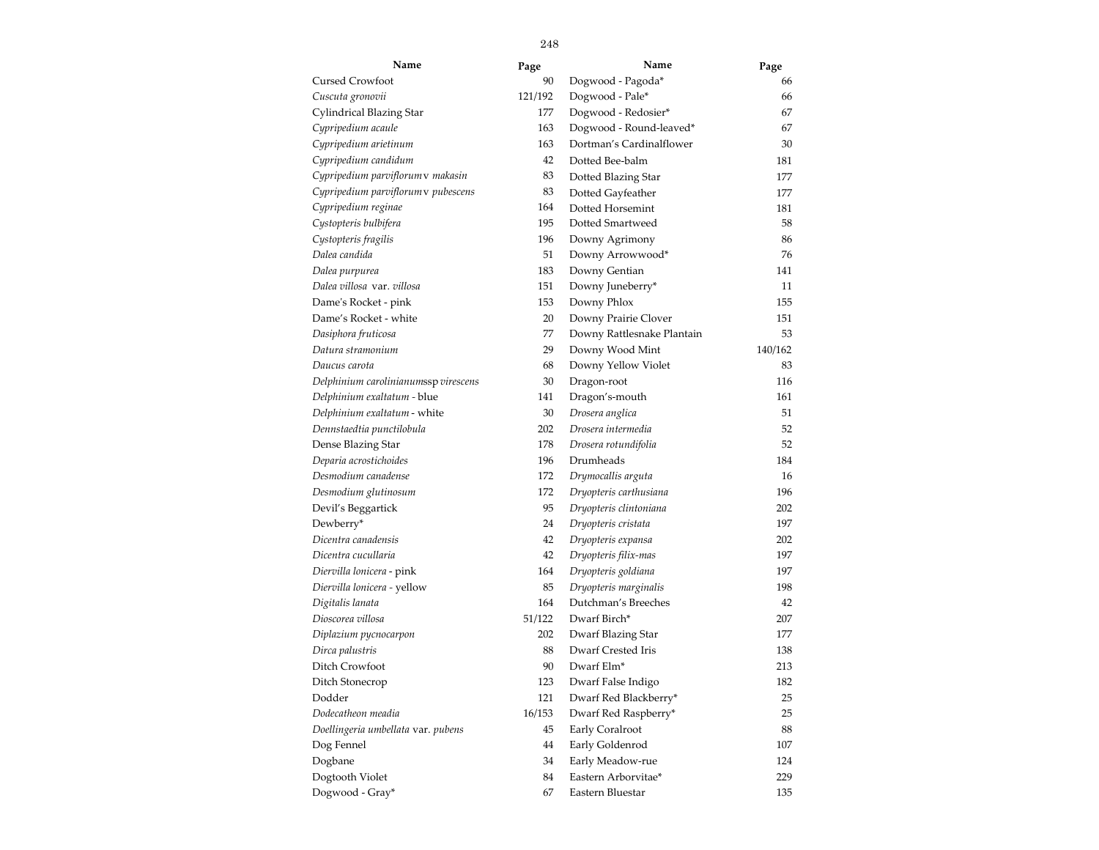| Name                                 | Page    | Name                       | Page    |
|--------------------------------------|---------|----------------------------|---------|
| <b>Cursed Crowfoot</b>               | 90      | Dogwood - Pagoda*          | 66      |
| Cuscuta gronovii                     | 121/192 | Dogwood - Pale*            | 66      |
| Cylindrical Blazing Star             | 177     | Dogwood - Redosier*        | 67      |
| Cypripedium acaule                   | 163     | Dogwood - Round-leaved*    | 67      |
| Cypripedium arietinum                | 163     | Dortman's Cardinalflower   | 30      |
| Cypripedium candidum                 | 42      | Dotted Bee-balm            | 181     |
| Cypripedium parviflorum v makasin    | 83      | Dotted Blazing Star        | 177     |
| Cypripedium parviflorum v pubescens  | 83      | Dotted Gayfeather          | 177     |
| Cypripedium reginae                  | 164     | Dotted Horsemint           | 181     |
| Cystopteris bulbifera                | 195     | Dotted Smartweed           | 58      |
| Cystopteris fragilis                 | 196     | Downy Agrimony             | 86      |
| Dalea candida                        | 51      | Downy Arrowwood*           | 76      |
| Dalea purpurea                       | 183     | Downy Gentian              | 141     |
| Dalea villosa var. villosa           | 151     | Downy Juneberry*           | 11      |
| Dame's Rocket - pink                 | 153     | Downy Phlox                | 155     |
| Dame's Rocket - white                | 20      | Downy Prairie Clover       | 151     |
| Dasiphora fruticosa                  | 77      | Downy Rattlesnake Plantain | 53      |
| Datura stramonium                    | 29      | Downy Wood Mint            | 140/162 |
| Daucus carota                        | 68      | Downy Yellow Violet        | 83      |
| Delphinium carolinianumssp virescens | 30      | Dragon-root                | 116     |
| Delphinium exaltatum - blue          | 141     | Dragon's-mouth             | 161     |
| Delphinium exaltatum - white         | 30      | Drosera anglica            | 51      |
| Dennstaedtia punctilobula            | 202     | Drosera intermedia         | 52      |
| Dense Blazing Star                   | 178     | Drosera rotundifolia       | 52      |
| Deparia acrostichoides               | 196     | Drumheads                  | 184     |
| Desmodium canadense                  | 172     | Drymocallis arguta         | 16      |
| Desmodium glutinosum                 | 172     | Dryopteris carthusiana     | 196     |
| Devil's Beggartick                   | 95      | Dryopteris clintoniana     | 202     |
| Dewberry*                            | 24      | Dryopteris cristata        | 197     |
| Dicentra canadensis                  | 42      | Dryopteris expansa         | 202     |
| Dicentra cucullaria                  | 42      | Dryopteris filix-mas       | 197     |
| Diervilla lonicera - pink            | 164     | Dryopteris goldiana        | 197     |
| Diervilla lonicera - yellow          | 85      | Dryopteris marginalis      | 198     |
| Digitalis lanata                     | 164     | Dutchman's Breeches        | 42      |
| Dioscorea villosa                    | 51/122  | Dwarf Birch*               | 207     |
| Diplazium pycnocarpon                | 202     | Dwarf Blazing Star         | 177     |
| Dirca palustris                      | 88      | Dwarf Crested Iris         | 138     |
| Ditch Crowfoot                       | 90      | Dwarf Elm <sup>*</sup>     | 213     |
| Ditch Stonecrop                      | 123     | Dwarf False Indigo         | 182     |
| Dodder                               | 121     | Dwarf Red Blackberry*      | 25      |
| Dodecatheon meadia                   | 16/153  | Dwarf Red Raspberry*       | 25      |
| Doellingeria umbellata var. pubens   | 45      | Early Coralroot            | 88      |
| Dog Fennel                           | 44      | Early Goldenrod            | 107     |
| Dogbane                              | 34      | Early Meadow-rue           | 124     |
| Dogtooth Violet                      | 84      | Eastern Arborvitae*        | 229     |
| Dogwood - Gray*                      | 67      | Eastern Bluestar           | 135     |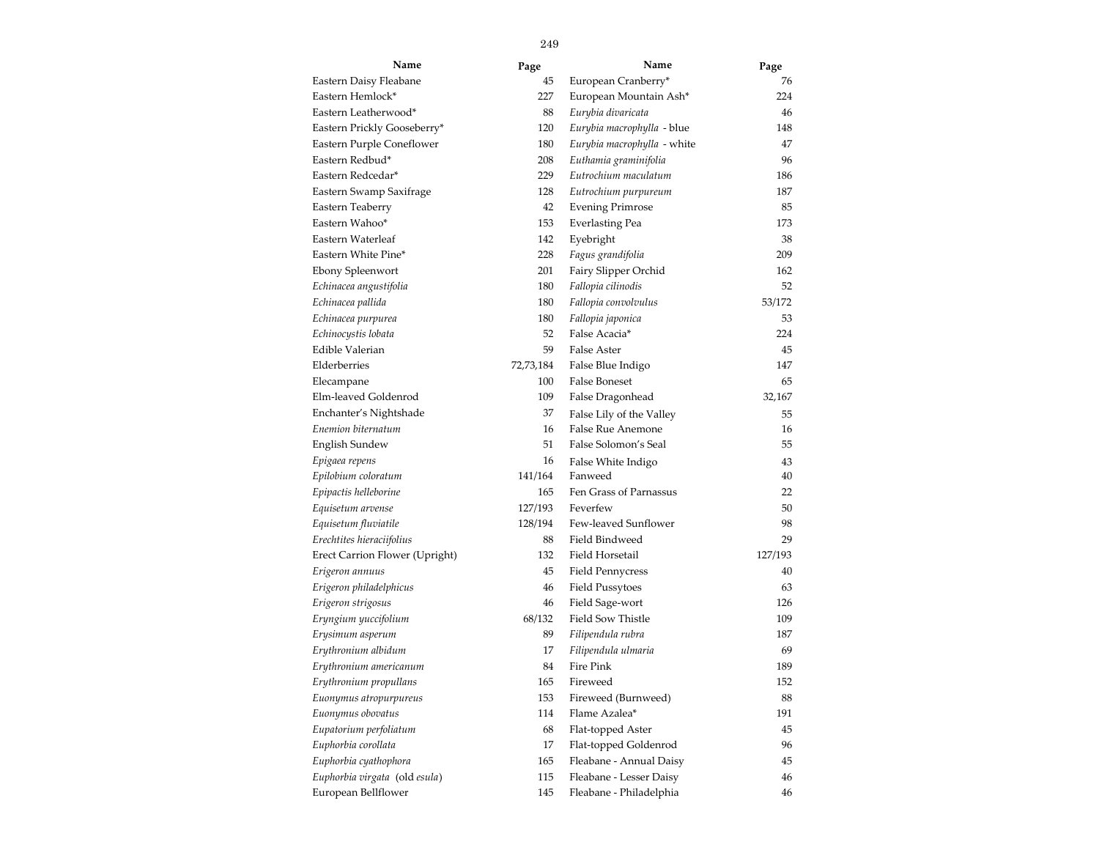| Name                           | Page      | Name                        | Page    |
|--------------------------------|-----------|-----------------------------|---------|
| Eastern Daisy Fleabane         | 45        | European Cranberry*         | 76      |
| Eastern Hemlock*               | 227       | European Mountain Ash*      | 224     |
| Eastern Leatherwood*           | 88        | Eurybia divaricata          | 46      |
| Eastern Prickly Gooseberry*    | 120       | Eurybia macrophylla - blue  | 148     |
| Eastern Purple Coneflower      | 180       | Eurybia macrophylla - white | 47      |
| Eastern Redbud*                | 208       | Euthamia graminifolia       | 96      |
| Eastern Redcedar*              | 229       | Eutrochium maculatum        | 186     |
| Eastern Swamp Saxifrage        | 128       | Eutrochium purpureum        | 187     |
| Eastern Teaberry               | 42        | <b>Evening Primrose</b>     | 85      |
| Eastern Wahoo*                 | 153       | <b>Everlasting Pea</b>      | 173     |
| Eastern Waterleaf              | 142       | Eyebright                   | 38      |
| Eastern White Pine*            | 228       | Fagus grandifolia           | 209     |
| Ebony Spleenwort               | 201       | Fairy Slipper Orchid        | 162     |
| Echinacea angustifolia         | 180       | Fallopia cilinodis          | 52      |
| Echinacea pallida              | 180       | Fallopia convolvulus        | 53/172  |
| Echinacea purpurea             | 180       | Fallopia japonica           | 53      |
| Echinocystis lobata            | 52        | False Acacia*               | 224     |
| Edible Valerian                | 59        | False Aster                 | 45      |
| Elderberries                   | 72,73,184 | False Blue Indigo           | 147     |
| Elecampane                     | 100       | <b>False Boneset</b>        | 65      |
| Elm-leaved Goldenrod           | 109       | False Dragonhead            | 32,167  |
| Enchanter's Nightshade         | 37        | False Lily of the Valley    | 55      |
| Enemion biternatum             | 16        | False Rue Anemone           | 16      |
| English Sundew                 | 51        | False Solomon's Seal        | 55      |
| Epigaea repens                 | 16        | False White Indigo          | 43      |
| Epilobium coloratum            | 141/164   | Fanweed                     | 40      |
| Epipactis helleborine          | 165       | Fen Grass of Parnassus      | 22      |
| Equisetum arvense              | 127/193   | Feverfew                    | 50      |
| Equisetum fluviatile           | 128/194   | Few-leaved Sunflower        | 98      |
| Erechtites hieraciifolius      | 88        | Field Bindweed              | 29      |
| Erect Carrion Flower (Upright) | 132       | Field Horsetail             | 127/193 |
| Erigeron annuus                | 45        | <b>Field Pennycress</b>     | 40      |
| Erigeron philadelphicus        | 46        | <b>Field Pussytoes</b>      | 63      |
| Erigeron strigosus             | 46        | Field Sage-wort             | 126     |
| Eryngium yuccifolium           | 68/132    | <b>Field Sow Thistle</b>    | 109     |
| Erysimum asperum               | 89        | Filipendula rubra           | 187     |
| Erythronium albidum            | 17        | Filipendula ulmaria         | 69      |
| Erythronium americanum         | 84        | Fire Pink                   | 189     |
| Erythronium propullans         | 165       | Fireweed                    | 152     |
| Euonymus atropurpureus         | 153       | Fireweed (Burnweed)         | 88      |
| Euonymus obovatus              | 114       | Flame Azalea*               | 191     |
| Eupatorium perfoliatum         | 68        | Flat-topped Aster           | 45      |
| Euphorbia corollata            | 17        | Flat-topped Goldenrod       | 96      |
| Euphorbia cyathophora          | 165       | Fleabane - Annual Daisy     | 45      |
| Euphorbia virgata (old esula)  | 115       | Fleabane - Lesser Daisy     | 46      |
| European Bellflower            | 145       | Fleabane - Philadelphia     | 46      |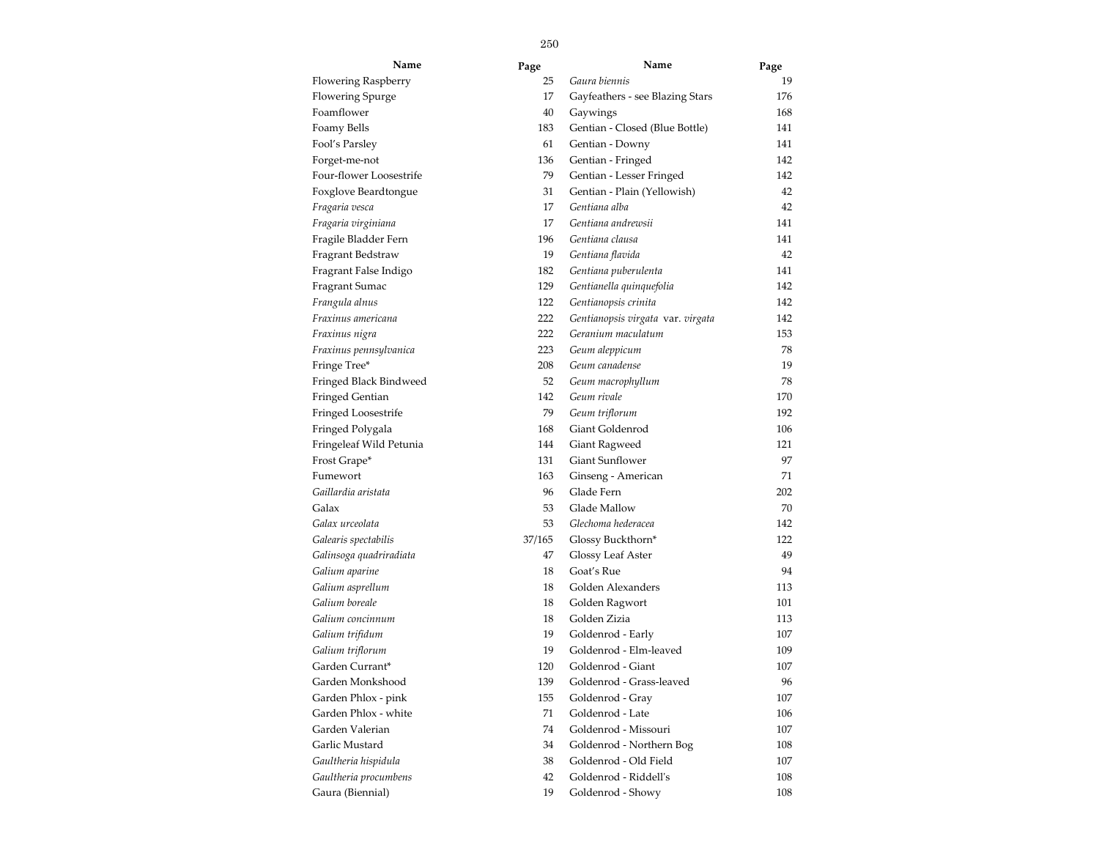| Name                    | Page   | Name                              | Page |
|-------------------------|--------|-----------------------------------|------|
| Flowering Raspberry     | 25     | Gaura biennis                     | 19   |
| <b>Flowering Spurge</b> | 17     | Gayfeathers - see Blazing Stars   | 176  |
| Foamflower              | 40     | Gaywings                          | 168  |
| Foamy Bells             | 183    | Gentian - Closed (Blue Bottle)    | 141  |
| Fool's Parsley          | 61     | Gentian - Downy                   | 141  |
| Forget-me-not           | 136    | Gentian - Fringed                 | 142  |
| Four-flower Loosestrife | 79     | Gentian - Lesser Fringed          | 142  |
| Foxglove Beardtongue    | 31     | Gentian - Plain (Yellowish)       | 42   |
| Fragaria vesca          | 17     | Gentiana alba                     | 42   |
| Fragaria virginiana     | 17     | Gentiana andrewsii                | 141  |
| Fragile Bladder Fern    | 196    | Gentiana clausa                   | 141  |
| Fragrant Bedstraw       | 19     | Gentiana flavida                  | 42   |
| Fragrant False Indigo   | 182    | Gentiana puberulenta              | 141  |
| Fragrant Sumac          | 129    | Gentianella quinquefolia          | 142  |
| Frangula alnus          | 122    | Gentianopsis crinita              | 142  |
| Fraxinus americana      | 222    | Gentianopsis virgata var. virgata | 142  |
| Fraxinus nigra          | 222    | Geranium maculatum                | 153  |
| Fraxinus pennsylvanica  | 223    | Geum aleppicum                    | 78   |
| Fringe Tree*            | 208    | Geum canadense                    | 19   |
| Fringed Black Bindweed  | 52     | Geum macrophyllum                 | 78   |
| Fringed Gentian         | 142    | Geum rivale                       | 170  |
| Fringed Loosestrife     | 79     | Geum triflorum                    | 192  |
| Fringed Polygala        | 168    | Giant Goldenrod                   | 106  |
| Fringeleaf Wild Petunia | 144    | Giant Ragweed                     | 121  |
| Frost Grape*            | 131    | <b>Giant Sunflower</b>            | 97   |
| Fumewort                | 163    | Ginseng - American                | 71   |
| Gaillardia aristata     | 96     | Glade Fern                        | 202  |
| Galax                   | 53     | Glade Mallow                      | 70   |
| Galax urceolata         | 53     | Glechoma hederacea                | 142  |
| Galearis spectabilis    | 37/165 | Glossy Buckthorn*                 | 122  |
| Galinsoga quadriradiata | 47     | Glossy Leaf Aster                 | 49   |
| Galium aparine          | 18     | Goat's Rue                        | 94   |
| Galium asprellum        | 18     | Golden Alexanders                 | 113  |
| Galium boreale          | 18     | Golden Ragwort                    | 101  |
| Galium concinnum        | 18     | Golden Zizia                      | 113  |
| Galium trifidum         | 19     | Goldenrod - Early                 | 107  |
| Galium triflorum        | 19     | Goldenrod - Elm-leaved            | 109  |
| Garden Currant*         | 120    | Goldenrod - Giant                 | 107  |
| Garden Monkshood        | 139    | Goldenrod - Grass-leaved          | 96   |
| Garden Phlox - pink     | 155    | Goldenrod - Gray                  | 107  |
| Garden Phlox - white    | 71     | Goldenrod - Late                  | 106  |
| Garden Valerian         | 74     | Goldenrod - Missouri              | 107  |
| Garlic Mustard          | 34     | Goldenrod - Northern Bog          | 108  |
| Gaultheria hispidula    | 38     | Goldenrod - Old Field             | 107  |
| Gaultheria procumbens   | 42     | Goldenrod - Riddell's             | 108  |
| Gaura (Biennial)        | 19     | Goldenrod - Showy                 | 108  |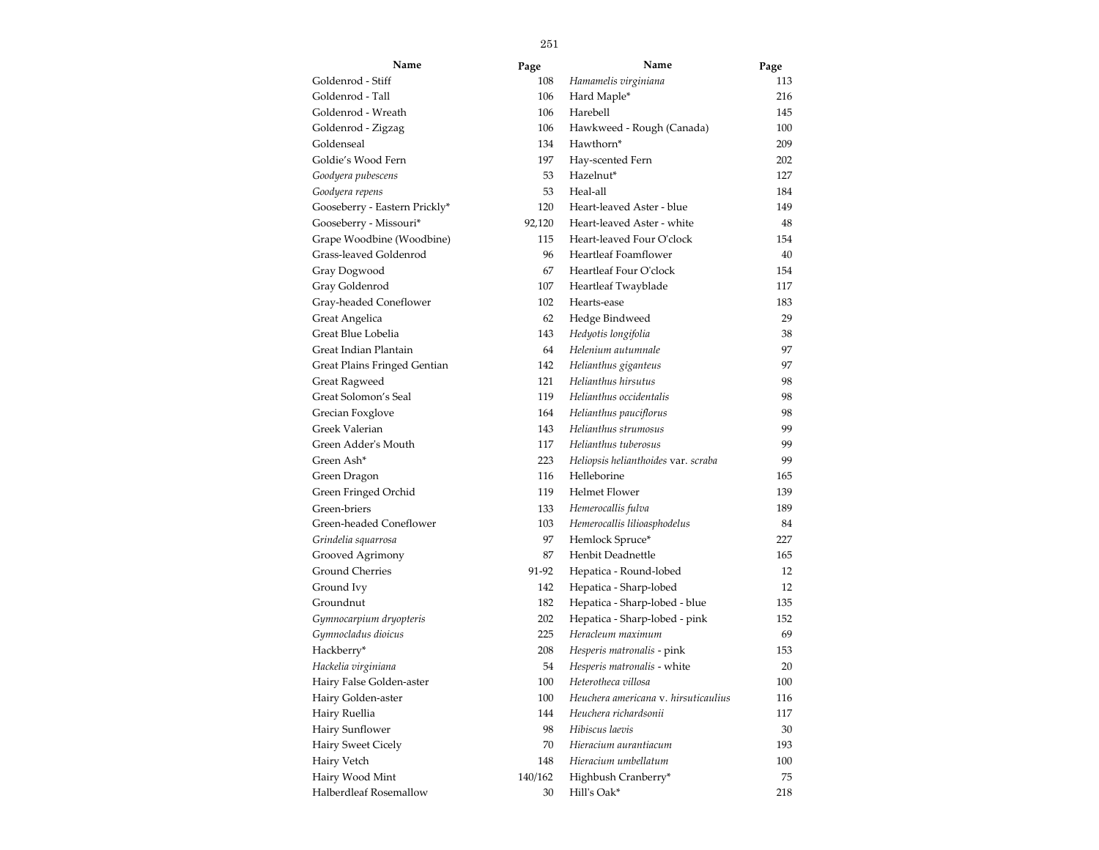| Name                          | Page    | Name                                 | Page |
|-------------------------------|---------|--------------------------------------|------|
| Goldenrod - Stiff             | 108     | Hamamelis virginiana                 | 113  |
| Goldenrod - Tall              | 106     | Hard Maple*                          | 216  |
| Goldenrod - Wreath            | 106     | Harebell                             | 145  |
| Goldenrod - Zigzag            | 106     | Hawkweed - Rough (Canada)            | 100  |
| Goldenseal                    | 134     | Hawthorn*                            | 209  |
| Goldie's Wood Fern            | 197     | Hay-scented Fern                     | 202  |
| Goodyera pubescens            | 53      | Hazelnut*                            | 127  |
| Goodyera repens               | 53      | Heal-all                             | 184  |
| Gooseberry - Eastern Prickly* | 120     | Heart-leaved Aster - blue            | 149  |
| Gooseberry - Missouri*        | 92,120  | Heart-leaved Aster - white           | 48   |
| Grape Woodbine (Woodbine)     | 115     | Heart-leaved Four O'clock            | 154  |
| Grass-leaved Goldenrod        | 96      | Heartleaf Foamflower                 | 40   |
| Gray Dogwood                  | 67      | Heartleaf Four O'clock               | 154  |
| Gray Goldenrod                | 107     | Heartleaf Twayblade                  | 117  |
| Gray-headed Coneflower        | 102     | Hearts-ease                          | 183  |
| Great Angelica                | 62      | Hedge Bindweed                       | 29   |
| Great Blue Lobelia            | 143     | Hedyotis longifolia                  | 38   |
| Great Indian Plantain         | 64      | Helenium autumnale                   | 97   |
| Great Plains Fringed Gentian  | 142     | Helianthus giganteus                 | 97   |
| Great Ragweed                 | 121     | Helianthus hirsutus                  | 98   |
| Great Solomon's Seal          | 119     | Helianthus occidentalis              | 98   |
| Grecian Foxglove              | 164     | Helianthus pauciflorus               | 98   |
| Greek Valerian                | 143     | Helianthus strumosus                 | 99   |
| Green Adder's Mouth           | 117     | Helianthus tuberosus                 | 99   |
| Green Ash*                    | 223     | Heliopsis helianthoides var. scraba  | 99   |
| Green Dragon                  | 116     | Helleborine                          | 165  |
| Green Fringed Orchid          | 119     | <b>Helmet Flower</b>                 | 139  |
| Green-briers                  | 133     | Hemerocallis fulva                   | 189  |
| Green-headed Coneflower       | 103     | Hemerocallis lilioasphodelus         | 84   |
| Grindelia squarrosa           | 97      | Hemlock Spruce*                      | 227  |
| Grooved Agrimony              | 87      | Henbit Deadnettle                    | 165  |
| <b>Ground Cherries</b>        | 91-92   | Hepatica - Round-lobed               | 12   |
| Ground Ivy                    | 142     | Hepatica - Sharp-lobed               | 12   |
| Groundnut                     | 182     | Hepatica - Sharp-lobed - blue        | 135  |
| Gymnocarpium dryopteris       | 202     | Hepatica - Sharp-lobed - pink        | 152  |
| Gymnocladus dioicus           | 225     | Heracleum maximum                    | 69   |
| Hackberry*                    | 208     | Hesperis matronalis - pink           | 153  |
| Hackelia virginiana           | 54      | Hesperis matronalis - white          | 20   |
| Hairy False Golden-aster      | 100     | Heterotheca villosa                  | 100  |
| Hairy Golden-aster            | 100     | Heuchera americana v. hirsuticaulius | 116  |
| Hairy Ruellia                 | 144     | Heuchera richardsonii                | 117  |
| Hairy Sunflower               | 98      | Hibiscus laevis                      | 30   |
| Hairy Sweet Cicely            | 70      | Hieracium aurantiacum                | 193  |
| Hairy Vetch                   | 148     | Hieracium umbellatum                 | 100  |
| Hairy Wood Mint               | 140/162 | Highbush Cranberry*                  | 75   |
| Halberdleaf Rosemallow        | 30      | Hill's Oak*                          | 218  |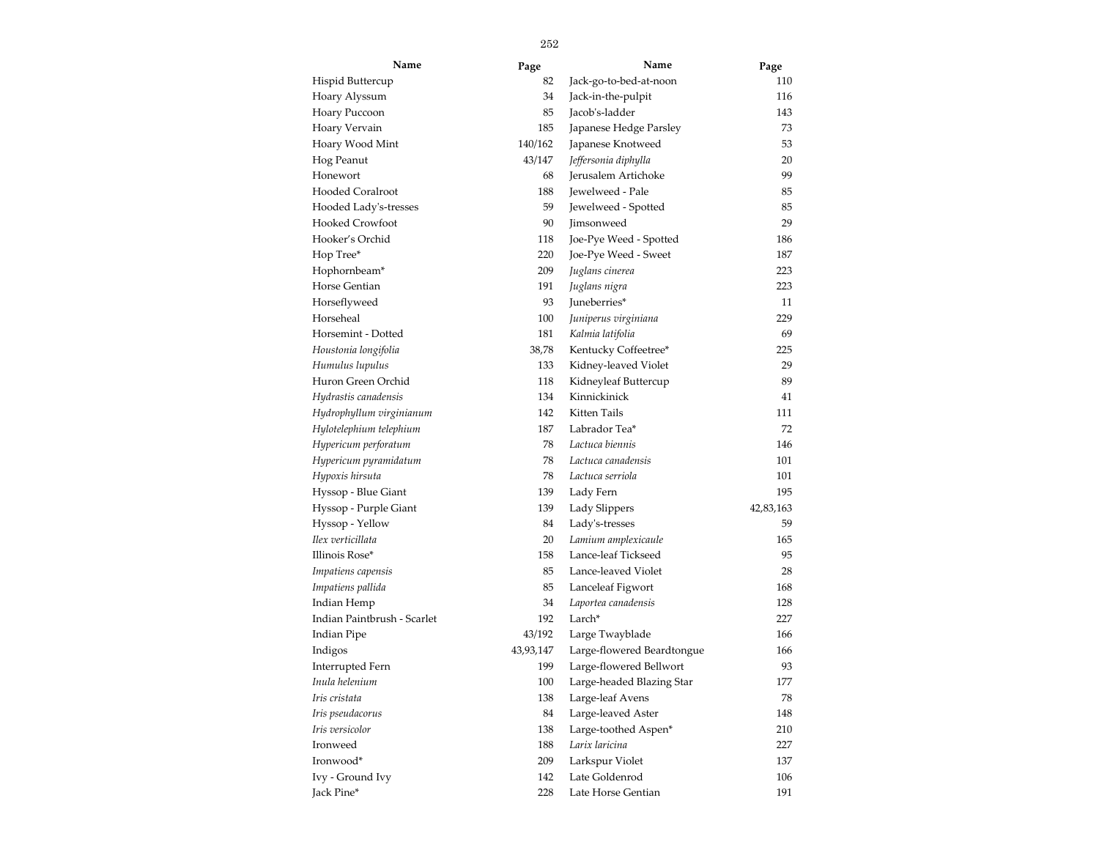| Name                        | Page      | Name                       | Page      |
|-----------------------------|-----------|----------------------------|-----------|
| Hispid Buttercup            | 82        | Jack-go-to-bed-at-noon     | 110       |
| Hoary Alyssum               | 34        | Jack-in-the-pulpit         | 116       |
| Hoary Puccoon               | 85        | Jacob's-ladder             | 143       |
| Hoary Vervain               | 185       | Japanese Hedge Parsley     | 73        |
| Hoary Wood Mint             | 140/162   | Japanese Knotweed          | 53        |
| Hog Peanut                  | 43/147    | Jeffersonia diphylla       | 20        |
| Honewort                    | 68        | Jerusalem Artichoke        | 99        |
| <b>Hooded Coralroot</b>     | 188       | Jewelweed - Pale           | 85        |
| Hooded Lady's-tresses       | 59        | Jewelweed - Spotted        | 85        |
| Hooked Crowfoot             | 90        | Jimsonweed                 | 29        |
| Hooker's Orchid             | 118       | Joe-Pye Weed - Spotted     | 186       |
| Hop Tree*                   | 220       | Joe-Pye Weed - Sweet       | 187       |
| Hophornbeam*                | 209       | Juglans cinerea            | 223       |
| Horse Gentian               | 191       | Juglans nigra              | 223       |
| Horseflyweed                | 93        | Juneberries*               | 11        |
| Horseheal                   | 100       | Juniperus virginiana       | 229       |
| Horsemint - Dotted          | 181       | Kalmia latifolia           | 69        |
| Houstonia longifolia        | 38,78     | Kentucky Coffeetree*       | 225       |
| Humulus lupulus             | 133       | Kidney-leaved Violet       | 29        |
| Huron Green Orchid          | 118       | Kidneyleaf Buttercup       | 89        |
| Hydrastis canadensis        | 134       | Kinnickinick               | 41        |
| Hydrophyllum virginianum    | 142       | Kitten Tails               | 111       |
| Hylotelephium telephium     | 187       | Labrador Tea*              | 72        |
| Hypericum perforatum        | 78        | Lactuca biennis            | 146       |
| Hypericum pyramidatum       | 78        | Lactuca canadensis         | 101       |
| Hypoxis hirsuta             | 78        | Lactuca serriola           | 101       |
| Hyssop - Blue Giant         | 139       | Lady Fern                  | 195       |
| Hyssop - Purple Giant       | 139       | Lady Slippers              | 42,83,163 |
| Hyssop - Yellow             | 84        | Lady's-tresses             | 59        |
| Ilex verticillata           | 20        | Lamium amplexicaule        | 165       |
| Illinois Rose*              | 158       | Lance-leaf Tickseed        | 95        |
| Impatiens capensis          | 85        | Lance-leaved Violet        | 28        |
| Impatiens pallida           | 85        | Lanceleaf Figwort          | 168       |
| Indian Hemp                 | 34        | Laportea canadensis        | 128       |
| Indian Paintbrush - Scarlet | 192       | Larch <sup>*</sup>         | 227       |
| <b>Indian Pipe</b>          | 43/192    | Large Twayblade            | 166       |
| Indigos                     | 43,93,147 | Large-flowered Beardtongue | 166       |
| Interrupted Fern            | 199       | Large-flowered Bellwort    | 93        |
| Inula helenium              | 100       | Large-headed Blazing Star  | 177       |
| Iris cristata               | 138       | Large-leaf Avens           | 78        |
| Iris pseudacorus            | 84        | Large-leaved Aster         | 148       |
| Iris versicolor             | 138       | Large-toothed Aspen*       | 210       |
| Ironweed                    | 188       | Larix laricina             | 227       |
| Ironwood*                   | 209       | Larkspur Violet            | 137       |
| Ivy - Ground Ivy            | 142       | Late Goldenrod             | 106       |
| Jack Pine*                  | 228       | Late Horse Gentian         | 191       |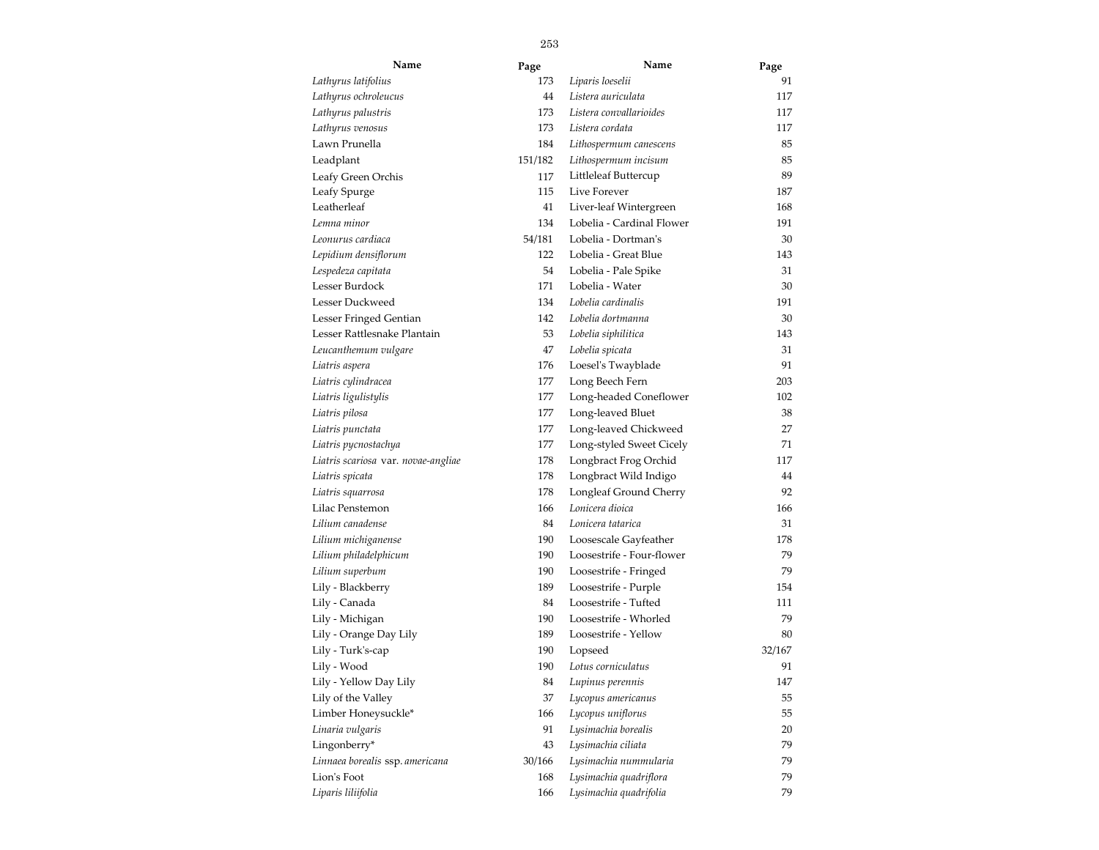| Name                                | Page    | Name                      | Page   |
|-------------------------------------|---------|---------------------------|--------|
| Lathyrus latifolius                 | 173     | Liparis loeselii          | 91     |
| Lathyrus ochroleucus                | 44      | Listera auriculata        | 117    |
| Lathyrus palustris                  | 173     | Listera convallarioides   | 117    |
| Lathyrus venosus                    | 173     | Listera cordata           | 117    |
| Lawn Prunella                       | 184     | Lithospermum canescens    | 85     |
| Leadplant                           | 151/182 | Lithospermum incisum      | 85     |
| Leafy Green Orchis                  | 117     | Littleleaf Buttercup      | 89     |
| Leafy Spurge                        | 115     | Live Forever              | 187    |
| Leatherleaf                         | 41      | Liver-leaf Wintergreen    | 168    |
| Lemna minor                         | 134     | Lobelia - Cardinal Flower | 191    |
| Leonurus cardiaca                   | 54/181  | Lobelia - Dortman's       | 30     |
| Lepidium densiflorum                | 122     | Lobelia - Great Blue      | 143    |
| Lespedeza capitata                  | 54      | Lobelia - Pale Spike      | 31     |
| Lesser Burdock                      | 171     | Lobelia - Water           | 30     |
| Lesser Duckweed                     | 134     | Lobelia cardinalis        | 191    |
| Lesser Fringed Gentian              | 142     | Lobelia dortmanna         | 30     |
| Lesser Rattlesnake Plantain         | 53      | Lobelia siphilitica       | 143    |
| Leucanthemum vulgare                | 47      | Lobelia spicata           | 31     |
| Liatris aspera                      | 176     | Loesel's Twayblade        | 91     |
| Liatris cylindracea                 | 177     | Long Beech Fern           | 203    |
| Liatris ligulistylis                | 177     | Long-headed Coneflower    | 102    |
| Liatris pilosa                      | 177     | Long-leaved Bluet         | 38     |
| Liatris punctata                    | 177     | Long-leaved Chickweed     | 27     |
| Liatris pycnostachya                | 177     | Long-styled Sweet Cicely  | 71     |
| Liatris scariosa var. novae-angliae | 178     | Longbract Frog Orchid     | 117    |
| Liatris spicata                     | 178     | Longbract Wild Indigo     | 44     |
| Liatris squarrosa                   | 178     | Longleaf Ground Cherry    | 92     |
| Lilac Penstemon                     | 166     | Lonicera dioica           | 166    |
| Lilium canadense                    | 84      | Lonicera tatarica         | 31     |
| Lilium michiganense                 | 190     | Loosescale Gayfeather     | 178    |
| Lilium philadelphicum               | 190     | Loosestrife - Four-flower | 79     |
| Lilium superbum                     | 190     | Loosestrife - Fringed     | 79     |
| Lily - Blackberry                   | 189     | Loosestrife - Purple      | 154    |
| Lily - Canada                       | 84      | Loosestrife - Tufted      | 111    |
| Lily - Michigan                     | 190     | Loosestrife - Whorled     | 79     |
| Lily - Orange Day Lily              | 189     | Loosestrife - Yellow      | 80     |
| Lily - Turk's-cap                   | 190     | Lopseed                   | 32/167 |
| Lily - Wood                         | 190     | Lotus corniculatus        | 91     |
| Lily - Yellow Day Lily              | 84      | Lupinus perennis          | 147    |
| Lily of the Valley                  | 37      | Lycopus americanus        | 55     |
| Limber Honeysuckle*                 | 166     | Lycopus uniflorus         | 55     |
| Linaria vulgaris                    | 91      | Lysimachia borealis       | 20     |
| Lingonberry*                        | 43      | Lysimachia ciliata        | 79     |
| Linnaea borealis ssp. americana     | 30/166  | Lysimachia nummularia     | 79     |
| Lion's Foot                         | 168     | Lysimachia quadriflora    | 79     |
| Liparis liliifolia                  | 166     | Lysimachia quadrifolia    | 79     |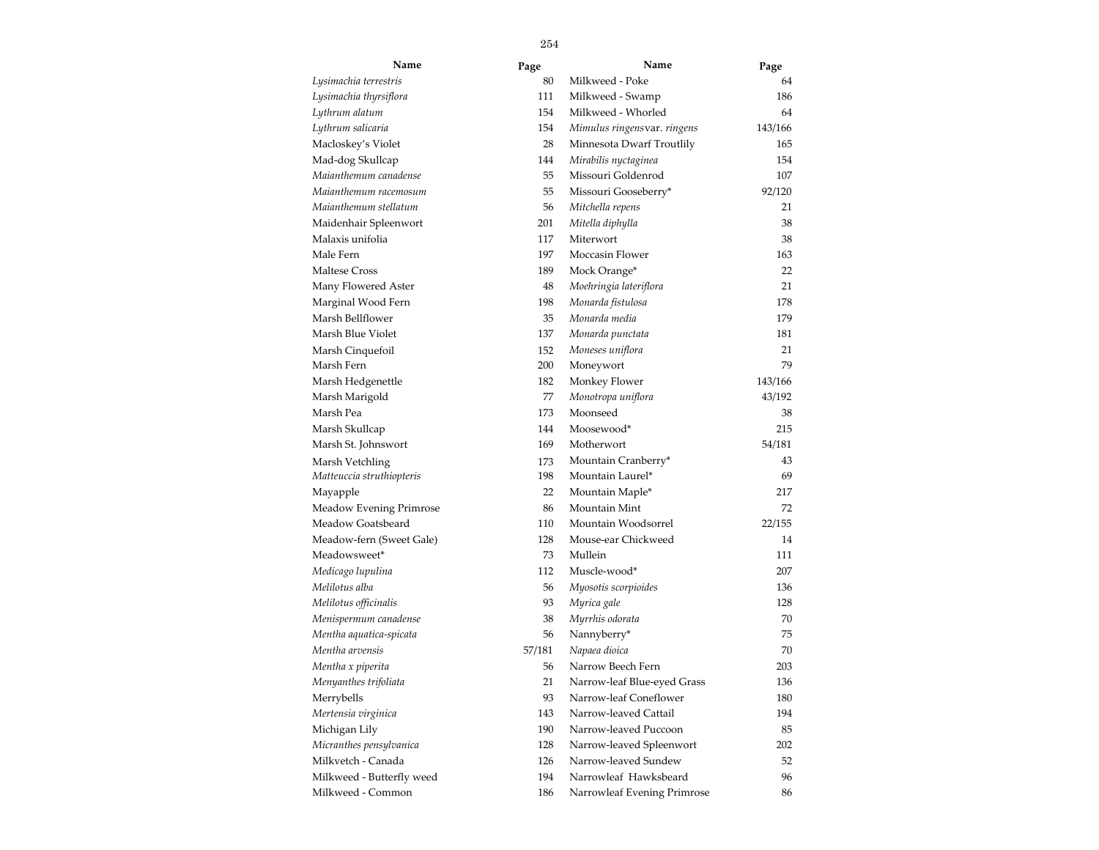| Name                      | Page   | Name                        | Page    |  |
|---------------------------|--------|-----------------------------|---------|--|
| Lysimachia terrestris     | 80     | Milkweed - Poke             | 64      |  |
| Lysimachia thyrsiflora    | 111    | Milkweed - Swamp            | 186     |  |
| Lythrum alatum            | 154    | Milkweed - Whorled          | 64      |  |
| Lythrum salicaria         | 154    | Mimulus ringensvar. ringens | 143/166 |  |
| Macloskey's Violet        | 28     | Minnesota Dwarf Troutlily   | 165     |  |
| Mad-dog Skullcap          | 144    | Mirabilis nyctaginea        | 154     |  |
| Maianthemum canadense     | 55     | Missouri Goldenrod          | 107     |  |
| Maianthemum racemosum     | 55     | Missouri Gooseberry*        | 92/120  |  |
| Maianthemum stellatum     | 56     | Mitchella repens            | 21      |  |
| Maidenhair Spleenwort     | 201    | Mitella diphylla            | 38      |  |
| Malaxis unifolia          | 117    | Miterwort                   | 38      |  |
| Male Fern                 | 197    | Moccasin Flower             | 163     |  |
| Maltese Cross             | 189    | Mock Orange*                | 22      |  |
| Many Flowered Aster       | 48     | Moehringia lateriflora      | 21      |  |
| Marginal Wood Fern        | 198    | Monarda fistulosa           | 178     |  |
| Marsh Bellflower          | 35     | Monarda media               | 179     |  |
| Marsh Blue Violet         | 137    | Monarda punctata            | 181     |  |
| Marsh Cinquefoil          | 152    | Moneses uniflora            | 21      |  |
| Marsh Fern                | 200    | Moneywort                   | 79      |  |
| Marsh Hedgenettle         | 182    | Monkey Flower               | 143/166 |  |
| Marsh Marigold            | 77     | Monotropa uniflora          | 43/192  |  |
| Marsh Pea                 | 173    | Moonseed                    | 38      |  |
| Marsh Skullcap            | 144    | Moosewood*                  | 215     |  |
| Marsh St. Johnswort       | 169    | Motherwort                  | 54/181  |  |
| Marsh Vetchling           | 173    | Mountain Cranberry*         | 43      |  |
| Matteuccia struthiopteris | 198    | Mountain Laurel*            | 69      |  |
| Mayapple                  | 22     | Mountain Maple*             | 217     |  |
| Meadow Evening Primrose   | 86     | Mountain Mint               | 72      |  |
| Meadow Goatsbeard         | 110    | Mountain Woodsorrel         | 22/155  |  |
| Meadow-fern (Sweet Gale)  | 128    | Mouse-ear Chickweed         | 14      |  |
| Meadowsweet*              | 73     | Mullein                     | 111     |  |
| Medicago lupulina         | 112    | Muscle-wood*                | 207     |  |
| Melilotus alba            | 56     | Myosotis scorpioides        | 136     |  |
| Melilotus officinalis     | 93     | Myrica gale                 | 128     |  |
| Menispermum canadense     | 38     | Myrrhis odorata             | 70      |  |
| Mentha aquatica-spicata   | 56     | Nannyberry*                 | 75      |  |
| Mentha arvensis           | 57/181 | Napaea dioica               | 70      |  |
| Mentha x piperita         | 56     | Narrow Beech Fern           | 203     |  |
| Menyanthes trifoliata     | 21     | Narrow-leaf Blue-eyed Grass | 136     |  |
| Merrybells                | 93     | Narrow-leaf Coneflower      | 180     |  |
| Mertensia virginica       | 143    | Narrow-leaved Cattail       | 194     |  |
| Michigan Lily             | 190    | Narrow-leaved Puccoon       | 85      |  |
| Micranthes pensylvanica   | 128    | Narrow-leaved Spleenwort    | 202     |  |
| Milkvetch - Canada        | 126    | Narrow-leaved Sundew        | 52      |  |
| Milkweed - Butterfly weed | 194    | Narrowleaf Hawksbeard       | 96      |  |
| Milkweed - Common         | 186    | Narrowleaf Evening Primrose | 86      |  |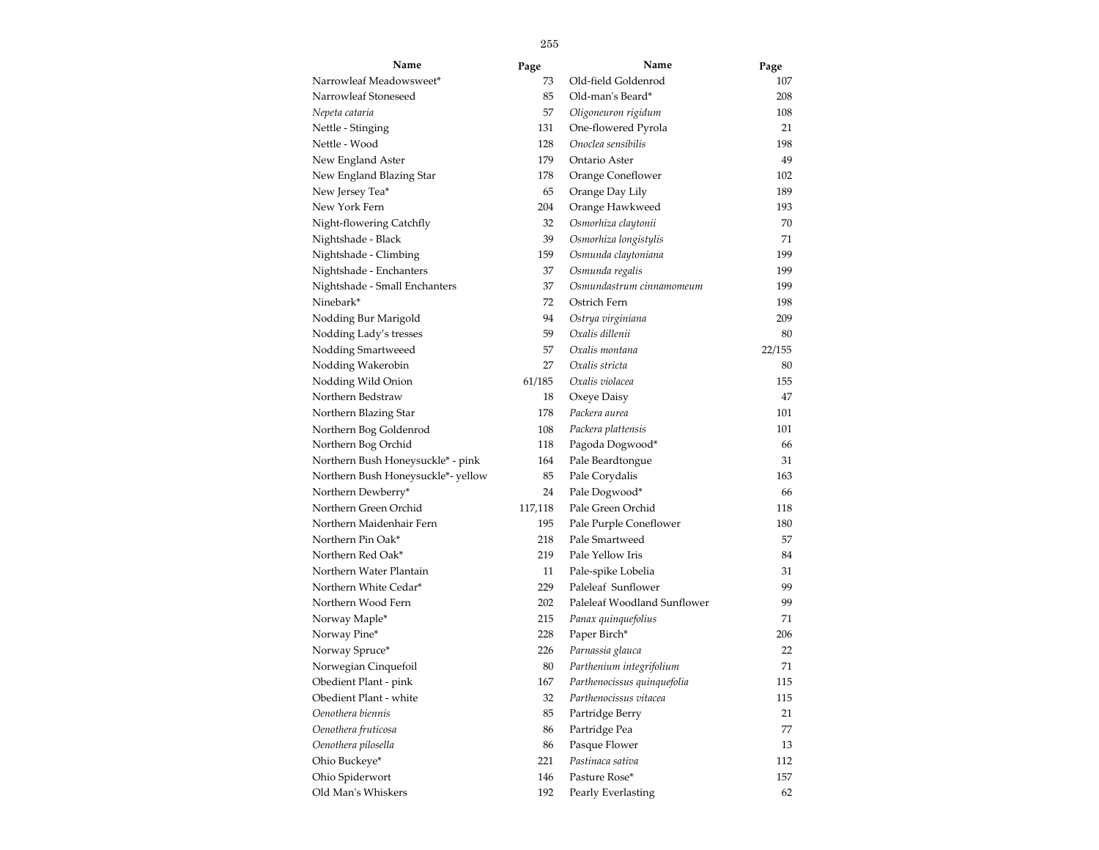| Name                               | Page    | Name                        | Page   |
|------------------------------------|---------|-----------------------------|--------|
| Narrowleaf Meadowsweet*            | 73      | Old-field Goldenrod         | 107    |
| Narrowleaf Stoneseed               | 85      | Old-man's Beard*            | 208    |
| Nepeta cataria                     | 57      | Oligoneuron rigidum         | 108    |
| Nettle - Stinging                  | 131     | One-flowered Pyrola         | 21     |
| Nettle - Wood                      | 128     | Onoclea sensibilis          | 198    |
| New England Aster                  | 179     | Ontario Aster               | 49     |
| New England Blazing Star           | 178     | Orange Coneflower           | 102    |
| New Jersey Tea*                    | 65      | Orange Day Lily             | 189    |
| New York Fern                      | 204     | Orange Hawkweed             | 193    |
| Night-flowering Catchfly           | 32      | Osmorhiza claytonii         | 70     |
| Nightshade - Black                 | 39      | Osmorhiza longistylis       | 71     |
| Nightshade - Climbing              | 159     | Osmunda claytoniana         | 199    |
| Nightshade - Enchanters            | 37      | Osmunda regalis             | 199    |
| Nightshade - Small Enchanters      | 37      | Osmundastrum cinnamomeum    | 199    |
| Ninebark*                          | 72      | Ostrich Fern                | 198    |
| Nodding Bur Marigold               | 94      | Ostrya virginiana           | 209    |
| Nodding Lady's tresses             | 59      | Oxalis dillenii             | 80     |
| Nodding Smartweeed                 | 57      | Oxalis montana              | 22/155 |
| Nodding Wakerobin                  | 27      | Oxalis stricta              | 80     |
| Nodding Wild Onion                 | 61/185  | Oxalis violacea             | 155    |
| Northern Bedstraw                  | 18      | Oxeye Daisy                 | 47     |
| Northern Blazing Star              | 178     | Packera aurea               | 101    |
| Northern Bog Goldenrod             | 108     | Packera plattensis          | 101    |
| Northern Bog Orchid                | 118     | Pagoda Dogwood*             | 66     |
| Northern Bush Honeysuckle* - pink  | 164     | Pale Beardtongue            | 31     |
| Northern Bush Honeysuckle*- yellow | 85      | Pale Corydalis              | 163    |
| Northern Dewberry*                 | 24      | Pale Dogwood*               | 66     |
| Northern Green Orchid              | 117,118 | Pale Green Orchid           | 118    |
| Northern Maidenhair Fern           | 195     | Pale Purple Coneflower      | 180    |
| Northern Pin Oak*                  | 218     | Pale Smartweed              | 57     |
| Northern Red Oak*                  | 219     | Pale Yellow Iris            | 84     |
| Northern Water Plantain            | 11      | Pale-spike Lobelia          | 31     |
| Northern White Cedar*              | 229     | Paleleaf Sunflower          | 99     |
| Northern Wood Fern                 | 202     | Paleleaf Woodland Sunflower | 99     |
| Norway Maple*                      | 215     | Panax quinquefolius         | 71     |
| Norway Pine*                       | 228     | Paper Birch*                | 206    |
| Norway Spruce*                     | 226     | Parnassia glauca            | 22     |
| Norwegian Cinquefoil               | 80      | Parthenium integrifolium    | 71     |
| Obedient Plant - pink              | 167     | Parthenocissus quinquefolia | 115    |
| Obedient Plant - white             | 32      | Parthenocissus vitacea      | 115    |
| Oenothera biennis                  | 85      | Partridge Berry             | 21     |
| Oenothera fruticosa                | 86      | Partridge Pea               | 77     |
| Oenothera pilosella                | 86      | Pasque Flower               | 13     |
| Ohio Buckeye*                      | 221     | Pastinaca sativa            | 112    |
| Ohio Spiderwort                    | 146     | Pasture Rose*               | 157    |
| Old Man's Whiskers                 | 192     | Pearly Everlasting          | 62     |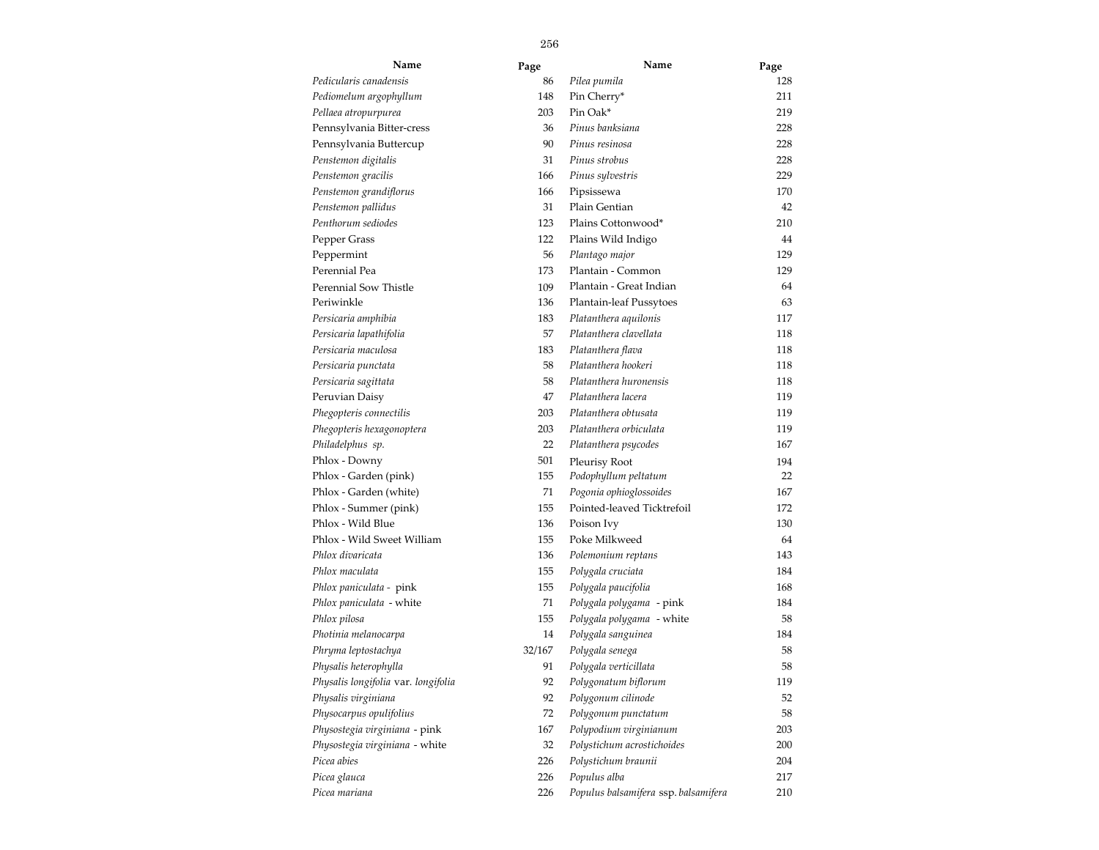| Name                                | Page   | Name                                 | Page |
|-------------------------------------|--------|--------------------------------------|------|
| Pedicularis canadensis              | 86     | Pilea pumila                         | 128  |
| Pediomelum argophyllum              | 148    | Pin Cherry*                          | 211  |
| Pellaea atropurpurea                | 203    | Pin Oak*                             | 219  |
| Pennsylvania Bitter-cress           | 36     | Pinus banksiana                      | 228  |
| Pennsylvania Buttercup              | 90     | Pinus resinosa                       | 228  |
| Penstemon digitalis                 | 31     | Pinus strobus                        | 228  |
| Penstemon gracilis                  | 166    | Pinus sylvestris                     | 229  |
| Penstemon grandiflorus              | 166    | Pipsissewa                           | 170  |
| Penstemon pallidus                  | 31     | Plain Gentian                        | 42   |
| Penthorum sediodes                  | 123    | Plains Cottonwood*                   | 210  |
| Pepper Grass                        | 122    | Plains Wild Indigo                   | 44   |
| Peppermint                          | 56     | Plantago major                       | 129  |
| Perennial Pea                       | 173    | Plantain - Common                    | 129  |
| Perennial Sow Thistle               | 109    | Plantain - Great Indian              | 64   |
| Periwinkle                          | 136    | Plantain-leaf Pussytoes              | 63   |
| Persicaria amphibia                 | 183    | Platanthera aquilonis                | 117  |
| Persicaria lapathifolia             | 57     | Platanthera clavellata               | 118  |
| Persicaria maculosa                 | 183    | Platanthera flava                    | 118  |
| Persicaria punctata                 | 58     | Platanthera hookeri                  | 118  |
| Persicaria sagittata                | 58     | Platanthera huronensis               | 118  |
| Peruvian Daisy                      | 47     | Platanthera lacera                   | 119  |
| Phegopteris connectilis             | 203    | Platanthera obtusata                 | 119  |
| Phegopteris hexagonoptera           | 203    | Platanthera orbiculata               | 119  |
| Philadelphus sp.                    | 22     | Platanthera psycodes                 | 167  |
| Phlox - Downy                       | 501    | Pleurisy Root                        | 194  |
| Phlox - Garden (pink)               | 155    | Podophyllum peltatum                 | 22   |
| Phlox - Garden (white)              | 71     | Pogonia ophioglossoides              | 167  |
| Phlox - Summer (pink)               | 155    | Pointed-leaved Ticktrefoil           | 172  |
| Phlox - Wild Blue                   | 136    | Poison Ivy                           | 130  |
| Phlox - Wild Sweet William          | 155    | Poke Milkweed                        | 64   |
| Phlox divaricata                    | 136    | Polemonium reptans                   | 143  |
| Phlox maculata                      | 155    | Polygala cruciata                    | 184  |
| Phlox paniculata - pink             | 155    | Polygala paucifolia                  | 168  |
| Phlox paniculata - white            | 71     | Polygala polygama - pink             | 184  |
| Phlox pilosa                        | 155    | Polygala polygama - white            | 58   |
| Photinia melanocarpa                | 14     | Polygala sanguinea                   | 184  |
| Phryma leptostachya                 | 32/167 | Polygala senega                      | 58   |
| Physalis heterophylla               | 91     | Polygala verticillata                | 58   |
| Physalis longifolia var. longifolia | 92     | Polygonatum biflorum                 | 119  |
| Physalis virginiana                 | 92     | Polygonum cilinode                   | 52   |
| Physocarpus opulifolius             | 72     | Polygonum punctatum                  | 58   |
| Physostegia virginiana - pink       | 167    | Polypodium virginianum               | 203  |
| Physostegia virginiana - white      | 32     | Polystichum acrostichoides           | 200  |
| Picea abies                         | 226    | Polystichum braunii                  | 204  |
| Picea glauca                        | 226    | Populus alba                         | 217  |
| Picea mariana                       | 226    | Populus balsamifera ssp. balsamifera | 210  |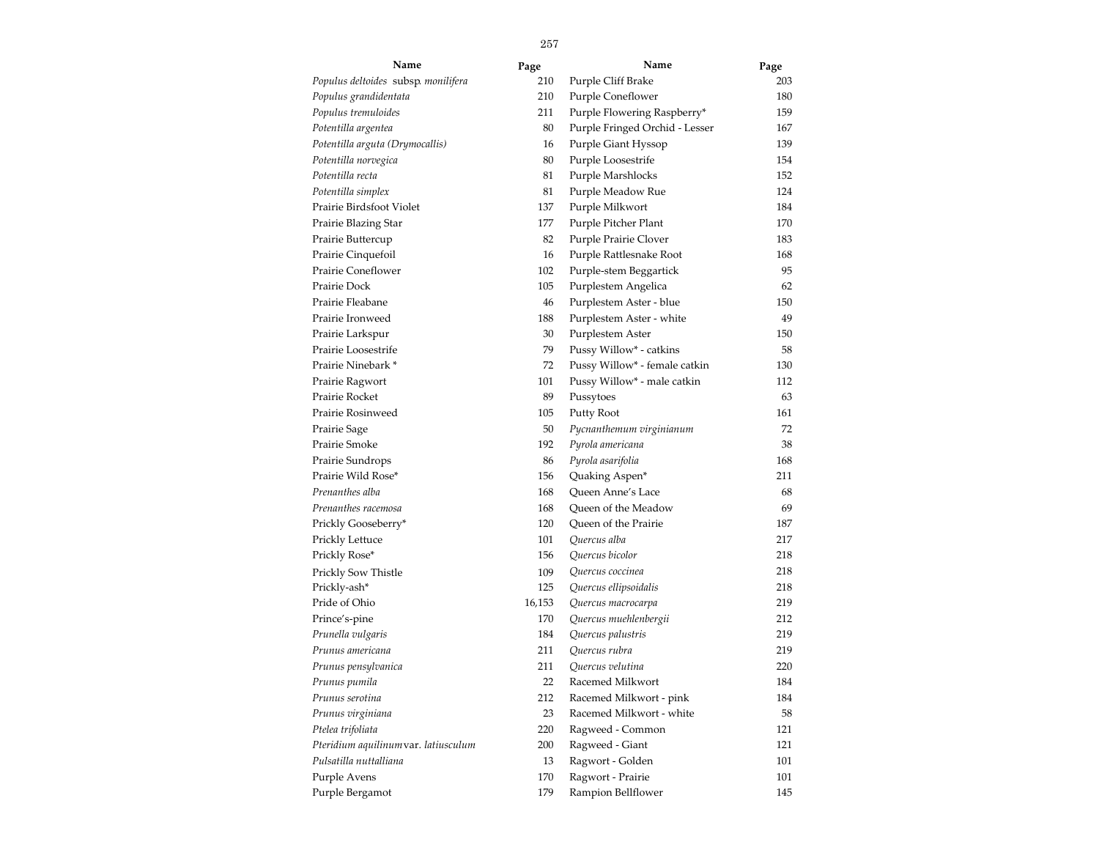| Name                                 | Page   | Name                           | Page |
|--------------------------------------|--------|--------------------------------|------|
| Populus deltoides subsp. monilifera  | 210    | Purple Cliff Brake             | 203  |
| Populus grandidentata                | 210    | Purple Coneflower              | 180  |
| Populus tremuloides                  | 211    | Purple Flowering Raspberry*    | 159  |
| Potentilla argentea                  | 80     | Purple Fringed Orchid - Lesser | 167  |
| Potentilla arguta (Drymocallis)      | 16     | Purple Giant Hyssop            | 139  |
| Potentilla norvegica                 | 80     | Purple Loosestrife             | 154  |
| Potentilla recta                     | 81     | Purple Marshlocks              | 152  |
| Potentilla simplex                   | 81     | Purple Meadow Rue              | 124  |
| Prairie Birdsfoot Violet             | 137    | Purple Milkwort                | 184  |
| Prairie Blazing Star                 | 177    | Purple Pitcher Plant           | 170  |
| Prairie Buttercup                    | 82     | Purple Prairie Clover          | 183  |
| Prairie Cinquefoil                   | 16     | Purple Rattlesnake Root        | 168  |
| Prairie Coneflower                   | 102    | Purple-stem Beggartick         | 95   |
| Prairie Dock                         | 105    | Purplestem Angelica            | 62   |
| Prairie Fleabane                     | 46     | Purplestem Aster - blue        | 150  |
| Prairie Ironweed                     | 188    | Purplestem Aster - white       | 49   |
| Prairie Larkspur                     | 30     | Purplestem Aster               | 150  |
| Prairie Loosestrife                  | 79     | Pussy Willow* - catkins        | 58   |
| Prairie Ninebark *                   | 72     | Pussy Willow* - female catkin  | 130  |
| Prairie Ragwort                      | 101    | Pussy Willow* - male catkin    | 112  |
| Prairie Rocket                       | 89     | Pussytoes                      | 63   |
| Prairie Rosinweed                    | 105    | Putty Root                     | 161  |
| Prairie Sage                         | 50     | Pycnanthemum virginianum       | 72   |
| Prairie Smoke                        | 192    | Pyrola americana               | 38   |
| Prairie Sundrops                     | 86     | Pyrola asarifolia              | 168  |
| Prairie Wild Rose*                   | 156    | Quaking Aspen*                 | 211  |
| Prenanthes alba                      | 168    | Queen Anne's Lace              | 68   |
| Prenanthes racemosa                  | 168    | Queen of the Meadow            | 69   |
| Prickly Gooseberry*                  | 120    | Queen of the Prairie           | 187  |
| Prickly Lettuce                      | 101    | Quercus alba                   | 217  |
| Prickly Rose*                        | 156    | Quercus bicolor                | 218  |
| Prickly Sow Thistle                  | 109    | Quercus coccinea               | 218  |
| Prickly-ash*                         | 125    | Quercus ellipsoidalis          | 218  |
| Pride of Ohio                        | 16,153 | Quercus macrocarpa             | 219  |
| Prince's-pine                        | 170    | Quercus muehlenbergii          | 212  |
| Prunella vulgaris                    | 184    | Quercus palustris              | 219  |
| Prunus americana                     | 211    | Quercus rubra                  | 219  |
| Prunus pensylvanica                  | 211    | Quercus velutina               | 220  |
| Prunus pumila                        | 22     | Racemed Milkwort               | 184  |
| Prunus serotina                      | 212    | Racemed Milkwort - pink        | 184  |
| Prunus virginiana                    | 23     | Racemed Milkwort - white       | 58   |
| Ptelea trifoliata                    | 220    | Ragweed - Common               | 121  |
| Pteridium aquilinum var. latiusculum | 200    | Ragweed - Giant                | 121  |
| Pulsatilla nuttalliana               | 13     | Ragwort - Golden               | 101  |
| Purple Avens                         | 170    | Ragwort - Prairie              | 101  |
| Purple Bergamot                      | 179    | Rampion Bellflower             | 145  |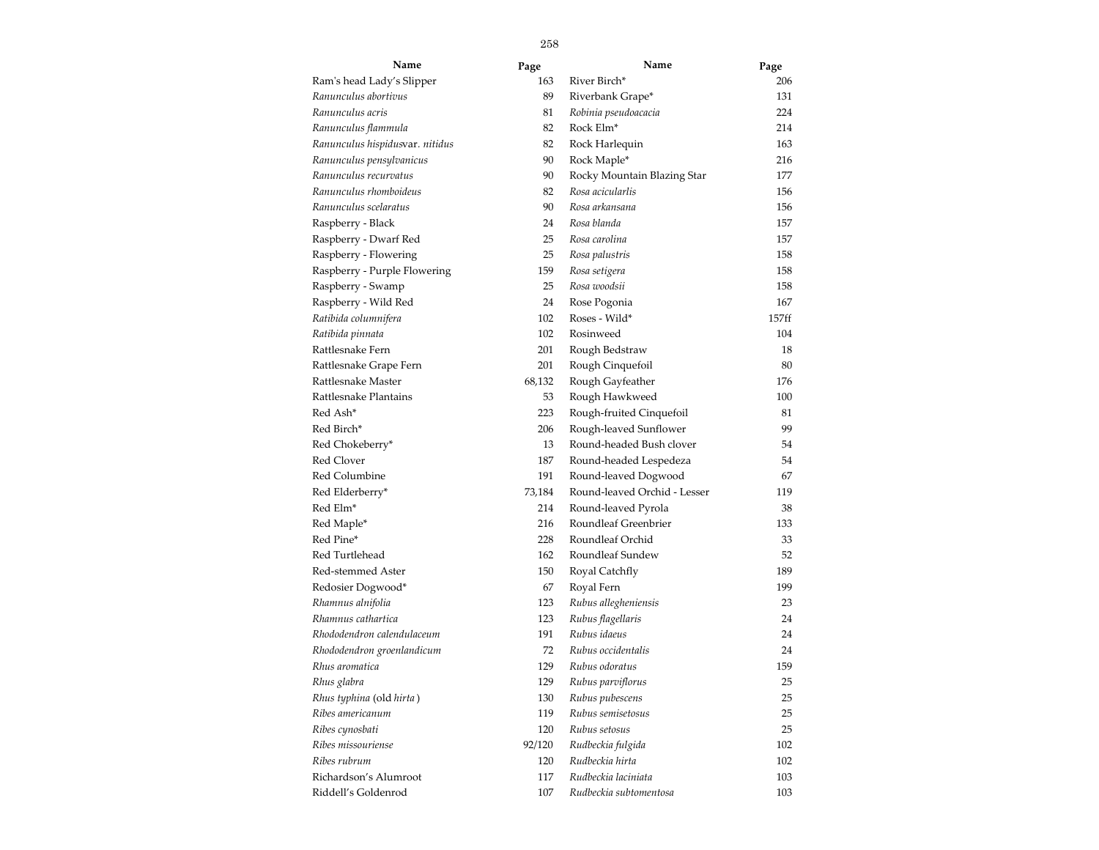| Name                            | Page   | Name                         | Page  |
|---------------------------------|--------|------------------------------|-------|
| Ram's head Lady's Slipper       | 163    | River Birch*                 | 206   |
| Ranunculus abortivus            | 89     | Riverbank Grape*             | 131   |
| Ranunculus acris                | 81     | Robinia pseudoacacia         | 224   |
| Ranunculus flammula             | 82     | Rock Elm <sup>*</sup>        | 214   |
| Ranunculus hispidusvar. nitidus | 82     | Rock Harlequin               | 163   |
| Ranunculus pensylvanicus        | 90     | Rock Maple*                  | 216   |
| Ranunculus recurvatus           | 90     | Rocky Mountain Blazing Star  | 177   |
| Ranunculus rhomboideus          | 82     | Rosa acicularlis             | 156   |
| Ranunculus scelaratus           | 90     | Rosa arkansana               | 156   |
| Raspberry - Black               | 24     | Rosa blanda                  | 157   |
| Raspberry - Dwarf Red           | 25     | Rosa carolina                | 157   |
| Raspberry - Flowering           | 25     | Rosa palustris               | 158   |
| Raspberry - Purple Flowering    | 159    | Rosa setigera                | 158   |
| Raspberry - Swamp               | 25     | Rosa woodsii                 | 158   |
| Raspberry - Wild Red            | 24     | Rose Pogonia                 | 167   |
| Ratibida columnifera            | 102    | Roses - Wild*                | 157ff |
| Ratibida pinnata                | 102    | Rosinweed                    | 104   |
| Rattlesnake Fern                | 201    | Rough Bedstraw               | 18    |
| Rattlesnake Grape Fern          | 201    | Rough Cinquefoil             | 80    |
| Rattlesnake Master              | 68,132 | Rough Gayfeather             | 176   |
| Rattlesnake Plantains           | 53     | Rough Hawkweed               | 100   |
| Red Ash*                        | 223    | Rough-fruited Cinquefoil     | 81    |
| Red Birch*                      | 206    | Rough-leaved Sunflower       | 99    |
| Red Chokeberry*                 | 13     | Round-headed Bush clover     | 54    |
| <b>Red Clover</b>               | 187    | Round-headed Lespedeza       | 54    |
| Red Columbine                   | 191    | Round-leaved Dogwood         | 67    |
| Red Elderberry*                 | 73,184 | Round-leaved Orchid - Lesser | 119   |
| Red Elm*                        | 214    | Round-leaved Pyrola          | 38    |
| Red Maple*                      | 216    | Roundleaf Greenbrier         | 133   |
| Red Pine*                       | 228    | Roundleaf Orchid             | 33    |
| Red Turtlehead                  | 162    | Roundleaf Sundew             | 52    |
| Red-stemmed Aster               | 150    | Royal Catchfly               | 189   |
| Redosier Dogwood*               | 67     | Royal Fern                   | 199   |
| Rhamnus alnifolia               | 123    | Rubus allegheniensis         | 23    |
| Rhamnus cathartica              | 123    | Rubus flagellaris            | 24    |
| Rhododendron calendulaceum      | 191    | Rubus idaeus                 | 24    |
| Rhododendron groenlandicum      | 72     | Rubus occidentalis           | 24    |
| Rhus aromatica                  | 129    | Rubus odoratus               | 159   |
| Rhus glabra                     | 129    | Rubus parviflorus            | 25    |
| Rhus typhina (old hirta)        | 130    | Rubus pubescens              | 25    |
| Ribes americanum                | 119    | Rubus semisetosus            | 25    |
| Ribes cynosbati                 | 120    | Rubus setosus                | 25    |
| Ribes missouriense              | 92/120 | Rudbeckia fulgida            | 102   |
| Ribes rubrum                    | 120    | Rudbeckia hirta              | 102   |
| Richardson's Alumroot           | 117    | Rudbeckia laciniata          | 103   |
| Riddell's Goldenrod             | 107    | Rudbeckia subtomentosa       | 103   |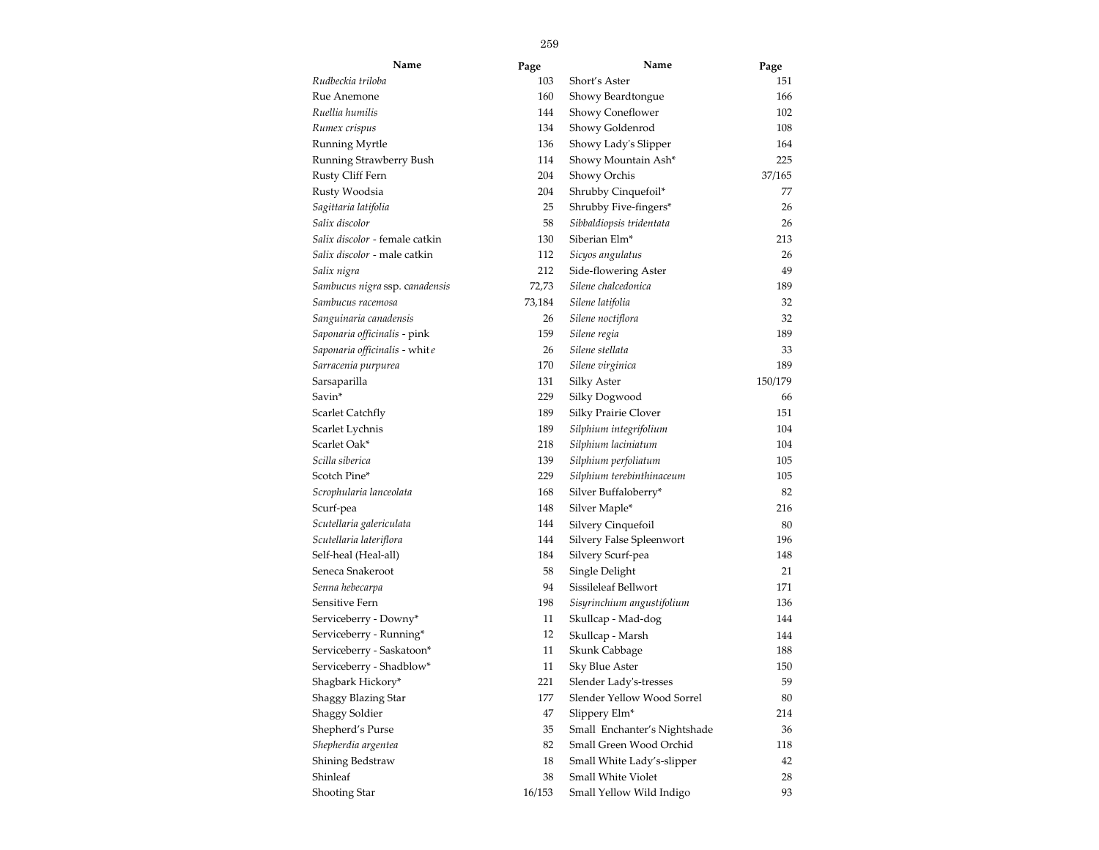| Name                           | Page   | Name                         | Page    |
|--------------------------------|--------|------------------------------|---------|
| Rudbeckia triloba              | 103    | Short's Aster                | 151     |
| Rue Anemone                    | 160    | Showy Beardtongue            | 166     |
| Ruellia humilis                | 144    | Showy Coneflower             | 102     |
| Rumex crispus                  | 134    | Showy Goldenrod              | 108     |
| Running Myrtle                 | 136    | Showy Lady's Slipper         | 164     |
| Running Strawberry Bush        | 114    | Showy Mountain Ash*          | 225     |
| Rusty Cliff Fern               | 204    | Showy Orchis                 | 37/165  |
| Rusty Woodsia                  | 204    | Shrubby Cinquefoil*          | 77      |
| Sagittaria latifolia           | 25     | Shrubby Five-fingers*        | 26      |
| Salix discolor                 | 58     | Sibbaldiopsis tridentata     | 26      |
| Salix discolor - female catkin | 130    | Siberian Elm <sup>*</sup>    | 213     |
| Salix discolor - male catkin   | 112    | Sicyos angulatus             | 26      |
| Salix nigra                    | 212    | Side-flowering Aster         | 49      |
| Sambucus nigra ssp. canadensis | 72,73  | Silene chalcedonica          | 189     |
| Sambucus racemosa              | 73,184 | Silene latifolia             | 32      |
| Sanguinaria canadensis         | 26     | Silene noctiflora            | 32      |
| Saponaria officinalis - pink   | 159    | Silene regia                 | 189     |
| Saponaria officinalis - white  | 26     | Silene stellata              | 33      |
| Sarracenia purpurea            | 170    | Silene virginica             | 189     |
| Sarsaparilla                   | 131    | Silky Aster                  | 150/179 |
| Savin*                         | 229    | Silky Dogwood                | 66      |
| Scarlet Catchfly               | 189    | Silky Prairie Clover         | 151     |
| Scarlet Lychnis                | 189    | Silphium integrifolium       | 104     |
| Scarlet Oak*                   | 218    | Silphium laciniatum          | 104     |
| Scilla siberica                | 139    | Silphium perfoliatum         | 105     |
| Scotch Pine*                   | 229    | Silphium terebinthinaceum    | 105     |
| Scrophularia lanceolata        | 168    | Silver Buffaloberry*         | 82      |
| Scurf-pea                      | 148    | Silver Maple*                | 216     |
| Scutellaria galericulata       | 144    | Silvery Cinquefoil           | 80      |
| Scutellaria lateriflora        | 144    | Silvery False Spleenwort     | 196     |
| Self-heal (Heal-all)           | 184    | Silvery Scurf-pea            | 148     |
| Seneca Snakeroot               | 58     | Single Delight               | 21      |
| Senna hebecarpa                | 94     | Sissileleaf Bellwort         | 171     |
| Sensitive Fern                 | 198    | Sisyrinchium angustifolium   | 136     |
| Serviceberry - Downy*          | 11     | Skullcap - Mad-dog           | 144     |
| Serviceberry - Running*        | 12     | Skullcap - Marsh             | 144     |
| Serviceberry - Saskatoon*      | 11     | Skunk Cabbage                | 188     |
| Serviceberry - Shadblow*       | 11     | Sky Blue Aster               | 150     |
| Shagbark Hickory*              | 221    | Slender Lady's-tresses       | 59      |
| Shaggy Blazing Star            | 177    | Slender Yellow Wood Sorrel   | 80      |
| <b>Shaggy Soldier</b>          | 47     | Slippery Elm*                | 214     |
| Shepherd's Purse               | 35     | Small Enchanter's Nightshade | 36      |
| Shepherdia argentea            | 82     | Small Green Wood Orchid      | 118     |
| Shining Bedstraw               | 18     | Small White Lady's-slipper   | 42      |
| Shinleaf                       | 38     | Small White Violet           | 28      |
| <b>Shooting Star</b>           | 16/153 | Small Yellow Wild Indigo     | 93      |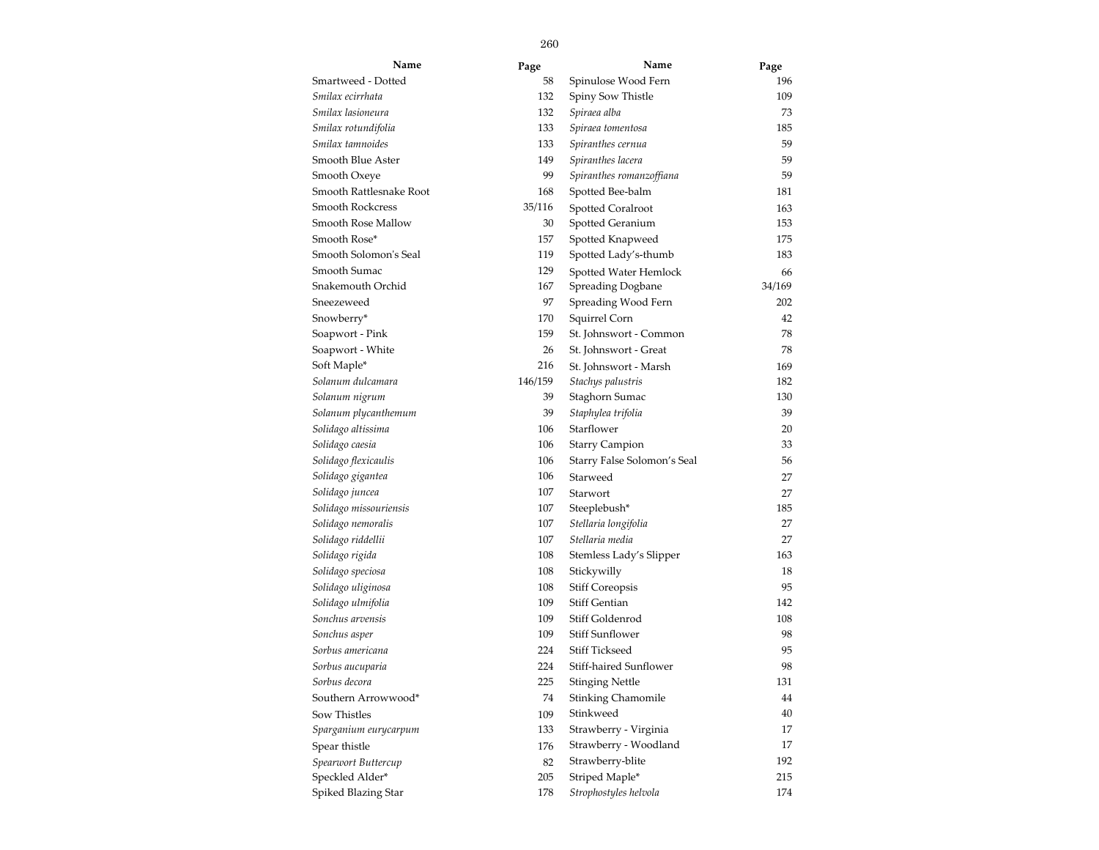| Name                    | Page    | Name                        | Page   |
|-------------------------|---------|-----------------------------|--------|
| Smartweed - Dotted      | 58      | Spinulose Wood Fern         | 196    |
| Smilax ecirrhata        | 132     | Spiny Sow Thistle           | 109    |
| Smilax lasioneura       | 132     | Spiraea alba                | 73     |
| Smilax rotundifolia     | 133     | Spiraea tomentosa           | 185    |
| Smilax tamnoides        | 133     | Spiranthes cernua           | 59     |
| Smooth Blue Aster       | 149     | Spiranthes lacera           | 59     |
| Smooth Oxeye            | 99      | Spiranthes romanzoffiana    | 59     |
| Smooth Rattlesnake Root | 168     | Spotted Bee-balm            | 181    |
| Smooth Rockcress        | 35/116  | <b>Spotted Coralroot</b>    | 163    |
| Smooth Rose Mallow      | 30      | Spotted Geranium            | 153    |
| Smooth Rose*            | 157     | Spotted Knapweed            | 175    |
| Smooth Solomon's Seal   | 119     | Spotted Lady's-thumb        | 183    |
| Smooth Sumac            | 129     | Spotted Water Hemlock       | 66     |
| Snakemouth Orchid       | 167     | <b>Spreading Dogbane</b>    | 34/169 |
| Sneezeweed              | 97      | Spreading Wood Fern         | 202    |
| Snowberry*              | 170     | Squirrel Corn               | 42     |
| Soapwort - Pink         | 159     | St. Johnswort - Common      | 78     |
| Soapwort - White        | 26      | St. Johnswort - Great       | 78     |
| Soft Maple*             | 216     | St. Johnswort - Marsh       | 169    |
| Solanum dulcamara       | 146/159 | Stachys palustris           | 182    |
| Solanum nigrum          | 39      | Staghorn Sumac              | 130    |
| Solanum plycanthemum    | 39      | Staphylea trifolia          | 39     |
| Solidago altissima      | 106     | Starflower                  | 20     |
| Solidago caesia         | 106     | <b>Starry Campion</b>       | 33     |
| Solidago flexicaulis    | 106     | Starry False Solomon's Seal | 56     |
| Solidago gigantea       | 106     | Starweed                    | 27     |
| Solidago juncea         | 107     | Starwort                    | 27     |
| Solidago missouriensis  | 107     | Steeplebush*                | 185    |
| Solidago nemoralis      | 107     | Stellaria longifolia        | 27     |
| Solidago riddellii      | 107     | Stellaria media             | 27     |
| Solidago rigida         | 108     | Stemless Lady's Slipper     | 163    |
| Solidago speciosa       | 108     | Stickywilly                 | 18     |
| Solidago uliginosa      | 108     | <b>Stiff Coreopsis</b>      | 95     |
| Solidago ulmifolia      | 109     | <b>Stiff Gentian</b>        | 142    |
| Sonchus arvensis        | 109     | Stiff Goldenrod             | 108    |
| Sonchus asper           | 109     | Stiff Sunflower             | 98     |
| Sorbus americana        | 224     | <b>Stiff Tickseed</b>       | 95     |
| Sorbus aucuparia        | 224     | Stiff-haired Sunflower      | 98     |
| Sorbus decora           | 225     | <b>Stinging Nettle</b>      | 131    |
| Southern Arrowwood*     | 74      | <b>Stinking Chamomile</b>   | 44     |
| Sow Thistles            | 109     | Stinkweed                   | 40     |
| Sparganium eurycarpum   | 133     | Strawberry - Virginia       | 17     |
| Spear thistle           | 176     | Strawberry - Woodland       | 17     |
| Spearwort Buttercup     | 82      | Strawberry-blite            | 192    |
| Speckled Alder*         | 205     | Striped Maple*              | 215    |
| Spiked Blazing Star     | 178     | Strophostyles helvola       | 174    |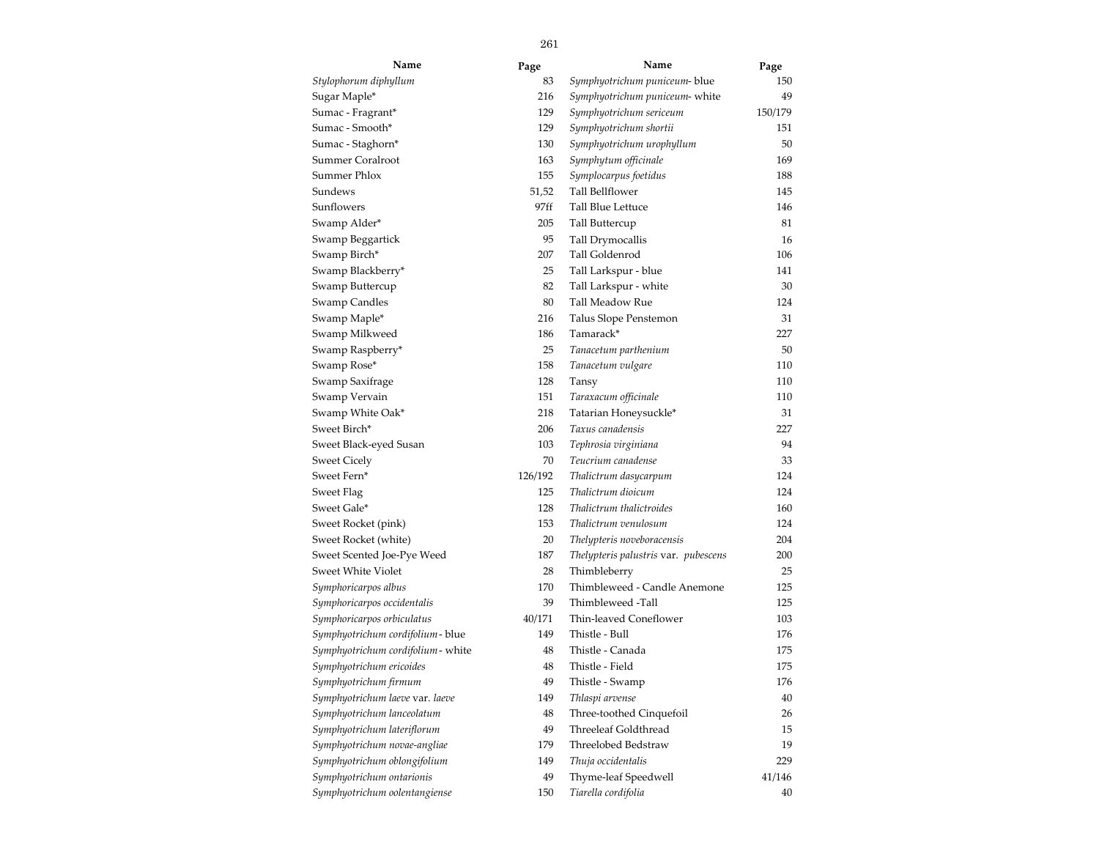| Name                             | Page    | Name                                 | Page    |
|----------------------------------|---------|--------------------------------------|---------|
| Stylophorum diphyllum            | 83      | Symphyotrichum puniceum- blue        | 150     |
| Sugar Maple*                     | 216     | Symphyotrichum puniceum- white       | 49      |
| Sumac - Fragrant*                | 129     | Symphyotrichum sericeum              | 150/179 |
| Sumac - Smooth*                  | 129     | Symphyotrichum shortii               | 151     |
| Sumac - Staghorn*                | 130     | Symphyotrichum urophyllum            | 50      |
| Summer Coralroot                 | 163     | Symphytum officinale                 | 169     |
| Summer Phlox                     | 155     | Symplocarpus foetidus                | 188     |
| Sundews                          | 51,52   | Tall Bellflower                      | 145     |
| Sunflowers                       | 97ff    | Tall Blue Lettuce                    | 146     |
| Swamp Alder*                     | 205     | Tall Buttercup                       | 81      |
| Swamp Beggartick                 | 95      | Tall Drymocallis                     | 16      |
| Swamp Birch*                     | 207     | Tall Goldenrod                       | 106     |
| Swamp Blackberry*                | 25      | Tall Larkspur - blue                 | 141     |
| Swamp Buttercup                  | 82      | Tall Larkspur - white                | 30      |
| Swamp Candles                    | 80      | Tall Meadow Rue                      | 124     |
| Swamp Maple*                     | 216     | Talus Slope Penstemon                | 31      |
| Swamp Milkweed                   | 186     | Tamarack*                            | 227     |
| Swamp Raspberry*                 | 25      | Tanacetum parthenium                 | 50      |
| Swamp Rose*                      | 158     | Tanacetum vulgare                    | 110     |
| Swamp Saxifrage                  | 128     | Tansy                                | 110     |
| Swamp Vervain                    | 151     | Taraxacum officinale                 | 110     |
| Swamp White Oak*                 | 218     | Tatarian Honeysuckle*                | 31      |
| Sweet Birch*                     | 206     | Taxus canadensis                     | 227     |
| Sweet Black-eyed Susan           | 103     | Tephrosia virginiana                 | 94      |
| <b>Sweet Cicely</b>              | 70      | Teucrium canadense                   | 33      |
| Sweet Fern*                      | 126/192 | Thalictrum dasycarpum                | 124     |
| Sweet Flag                       | 125     | Thalictrum dioicum                   | 124     |
| Sweet Gale*                      | 128     | Thalictrum thalictroides             | 160     |
| Sweet Rocket (pink)              | 153     | Thalictrum venulosum                 | 124     |
| Sweet Rocket (white)             | 20      | Thelypteris noveboracensis           | 204     |
| Sweet Scented Joe-Pye Weed       | 187     | Thelypteris palustris var. pubescens | 200     |
| Sweet White Violet               | 28      | Thimbleberry                         | 25      |
| Symphoricarpos albus             | 170     | Thimbleweed - Candle Anemone         | 125     |
| Symphoricarpos occidentalis      | 39      | Thimbleweed -Tall                    | 125     |
| Symphoricarpos orbiculatus       | 40/171  | Thin-leaved Coneflower               | 103     |
| Symphyotrichum cordifolium-blue  | 149     | Thistle - Bull                       | 176     |
| Symphyotrichum cordifolium-white | 48      | Thistle - Canada                     | 175     |
| Symphyotrichum ericoides         | 48      | Thistle - Field                      | 175     |
| Symphyotrichum firmum            | 49      | Thistle - Swamp                      | 176     |
| Symphyotrichum laeve var. laeve  | 149     | Thlaspi arvense                      | 40      |
| Symphyotrichum lanceolatum       | 48      | Three-toothed Cinquefoil             | 26      |
| Symphyotrichum lateriflorum      | 49      | Threeleaf Goldthread                 | 15      |
| Symphyotrichum novae-angliae     | 179     | Threelobed Bedstraw                  | 19      |
| Symphyotrichum oblongifolium     | 149     | Thuja occidentalis                   | 229     |
| Symphyotrichum ontarionis        | 49      | Thyme-leaf Speedwell                 | 41/146  |
| Symphyotrichum oolentangiense    | 150     | Tiarella cordifolia                  | 40      |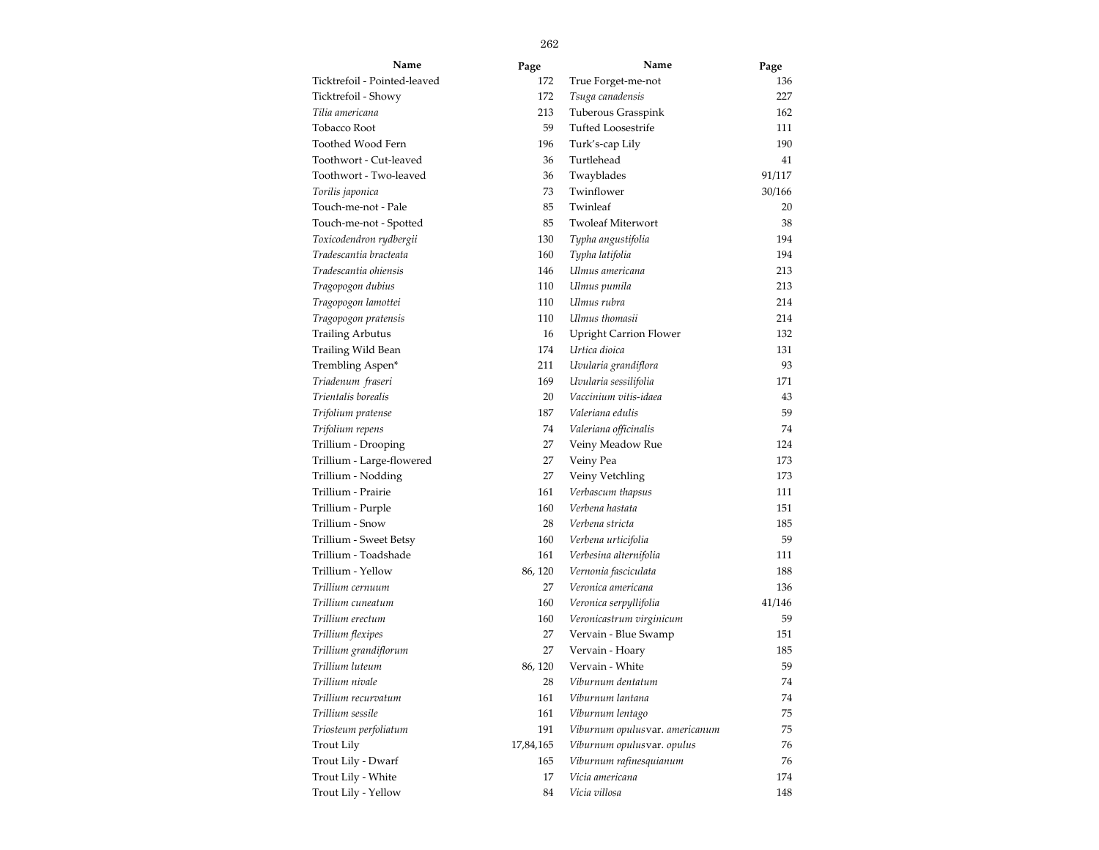| Name                         | Page      | Name                           | Page   |  |
|------------------------------|-----------|--------------------------------|--------|--|
| Ticktrefoil - Pointed-leaved | 172       | True Forget-me-not             | 136    |  |
| Ticktrefoil - Showy          | 172       | Tsuga canadensis               | 227    |  |
| Tilia americana              | 213       | Tuberous Grasspink             | 162    |  |
| Tobacco Root                 | 59        | <b>Tufted Loosestrife</b>      | 111    |  |
| Toothed Wood Fern            | 196       | Turk's-cap Lily                | 190    |  |
| Toothwort - Cut-leaved       | 36        | Turtlehead                     | 41     |  |
| Toothwort - Two-leaved       | 36        | Twayblades                     | 91/117 |  |
| Torilis japonica             | 73        | Twinflower                     | 30/166 |  |
| Touch-me-not - Pale          | 85        | Twinleaf                       | 20     |  |
| Touch-me-not - Spotted       | 85        | <b>Twoleaf Miterwort</b>       | 38     |  |
| Toxicodendron rydbergii      | 130       | Typha angustifolia             | 194    |  |
| Tradescantia bracteata       | 160       | Typha latifolia                | 194    |  |
| Tradescantia ohiensis        | 146       | Ulmus americana                | 213    |  |
| Tragopogon dubius            | 110       | Ulmus pumila                   | 213    |  |
| Tragopogon lamottei          | 110       | Ulmus rubra                    | 214    |  |
| Tragopogon pratensis         | 110       | Ulmus thomasii                 | 214    |  |
| <b>Trailing Arbutus</b>      | 16        | <b>Upright Carrion Flower</b>  | 132    |  |
| Trailing Wild Bean           | 174       | Urtica dioica                  | 131    |  |
| Trembling Aspen*             | 211       | Uvularia grandiflora           | 93     |  |
| Triadenum fraseri            | 169       | Uvularia sessilifolia          | 171    |  |
| Trientalis borealis          | 20        | Vaccinium vitis-idaea          | 43     |  |
| Trifolium pratense           | 187       | Valeriana edulis               | 59     |  |
| Trifolium repens             | 74        | Valeriana officinalis          | 74     |  |
| Trillium - Drooping          | 27        | Veiny Meadow Rue               | 124    |  |
| Trillium - Large-flowered    | 27        | Veiny Pea                      | 173    |  |
| Trillium - Nodding           | 27        | Veiny Vetchling                | 173    |  |
| Trillium - Prairie           | 161       | Verbascum thapsus              | 111    |  |
| Trillium - Purple            | 160       | Verbena hastata                | 151    |  |
| Trillium - Snow              | 28        | Verbena stricta                | 185    |  |
| Trillium - Sweet Betsy       | 160       | Verbena urticifolia            | 59     |  |
| Trillium - Toadshade         | 161       | Verbesina alternifolia         | 111    |  |
| Trillium - Yellow            | 86, 120   | Vernonia fasciculata           | 188    |  |
| Trillium cernuum             | 27        | Veronica americana             | 136    |  |
| Trillium cuneatum            | 160       | Veronica serpyllifolia         | 41/146 |  |
| Trillium erectum             | 160       | Veronicastrum virginicum       | 59     |  |
| Trillium flexipes            | 27        | Vervain - Blue Swamp           | 151    |  |
| Trillium grandiflorum        | 27        | Vervain - Hoary                | 185    |  |
| Trillium luteum              | 86, 120   | Vervain - White                | 59     |  |
| Trillium nivale              | 28        | Viburnum dentatum              | 74     |  |
| Trillium recurvatum          | 161       | Viburnum lantana               | 74     |  |
| Trillium sessile             | 161       | Viburnum lentago               | 75     |  |
| Triosteum perfoliatum        | 191       | Viburnum opulusvar. americanum | 75     |  |
| Trout Lily                   | 17,84,165 | Viburnum opulusvar. opulus     | 76     |  |
| Trout Lily - Dwarf           | 165       | Viburnum rafinesquianum        | 76     |  |
| Trout Lily - White           | 17        | Vicia americana                | 174    |  |
| Trout Lily - Yellow          | 84        | Vicia villosa                  | 148    |  |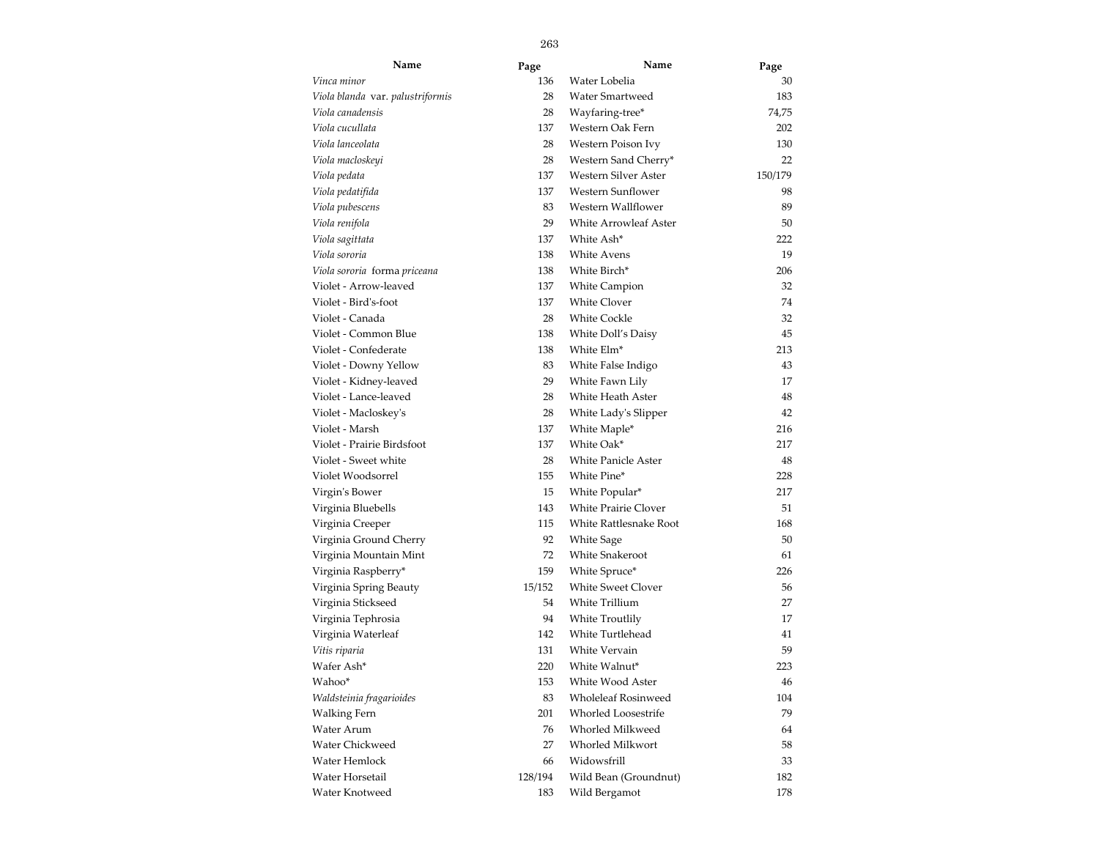| Name                             | Page    | Name                       | Page    |
|----------------------------------|---------|----------------------------|---------|
| Vinca minor                      | 136     | Water Lobelia              | 30      |
| Viola blanda var. palustriformis | 28      | Water Smartweed            | 183     |
| Viola canadensis                 | 28      | Wayfaring-tree*            | 74,75   |
| Viola cucullata                  | 137     | Western Oak Fern           | 202     |
| Viola lanceolata                 | 28      | Western Poison Ivy         | 130     |
| Viola macloskeyi                 | 28      | Western Sand Cherry*       | 22      |
| Viola pedata                     | 137     | Western Silver Aster       | 150/179 |
| Viola pedatifida                 | 137     | Western Sunflower          | 98      |
| Viola pubescens                  | 83      | Western Wallflower         | 89      |
| Viola renifola                   | 29      | White Arrowleaf Aster      | 50      |
| Viola sagittata                  | 137     | White Ash*                 | 222     |
| Viola sororia                    | 138     | White Avens                | 19      |
| Viola sororia forma priceana     | 138     | White Birch*               | 206     |
| Violet - Arrow-leaved            | 137     | <b>White Campion</b>       | 32      |
| Violet - Bird's-foot             | 137     | <b>White Clover</b>        | 74      |
| Violet - Canada                  | 28      | <b>White Cockle</b>        | 32      |
| Violet - Common Blue             | 138     | White Doll's Daisy         | 45      |
| Violet - Confederate             | 138     | White Elm <sup>*</sup>     | 213     |
| Violet - Downy Yellow            | 83      | White False Indigo         | 43      |
| Violet - Kidney-leaved           | 29      | White Fawn Lily            | 17      |
| Violet - Lance-leaved            | 28      | White Heath Aster          | 48      |
| Violet - Macloskey's             | 28      | White Lady's Slipper       | 42      |
| Violet - Marsh                   | 137     | White Maple*               | 216     |
| Violet - Prairie Birdsfoot       | 137     | White Oak*                 | 217     |
| Violet - Sweet white             | 28      | <b>White Panicle Aster</b> | 48      |
| Violet Woodsorrel                | 155     | White Pine*                | 228     |
| Virgin's Bower                   | 15      | White Popular*             | 217     |
| Virginia Bluebells               | 143     | White Prairie Clover       | 51      |
| Virginia Creeper                 | 115     | White Rattlesnake Root     | 168     |
| Virginia Ground Cherry           | 92      | White Sage                 | 50      |
| Virginia Mountain Mint           | 72      | White Snakeroot            | 61      |
| Virginia Raspberry*              | 159     | White Spruce*              | 226     |
| Virginia Spring Beauty           | 15/152  | <b>White Sweet Clover</b>  | 56      |
| Virginia Stickseed               | 54      | White Trillium             | 27      |
| Virginia Tephrosia               | 94      | White Troutlily            | 17      |
| Virginia Waterleaf               | 142     | White Turtlehead           | 41      |
| Vitis riparia                    | 131     | White Vervain              | 59      |
| Wafer Ash*                       | 220     | White Walnut*              | 223     |
| Wahoo*                           | 153     | White Wood Aster           | 46      |
| Waldsteinia fragarioides         | 83      | <b>Wholeleaf Rosinweed</b> | 104     |
| <b>Walking Fern</b>              | 201     | Whorled Loosestrife        | 79      |
| Water Arum                       | 76      | Whorled Milkweed           | 64      |
| Water Chickweed                  | 27      | Whorled Milkwort           | 58      |
| Water Hemlock                    | 66      | Widowsfrill                | 33      |
| Water Horsetail                  | 128/194 | Wild Bean (Groundnut)      | 182     |
| Water Knotweed                   | 183     | Wild Bergamot              | 178     |